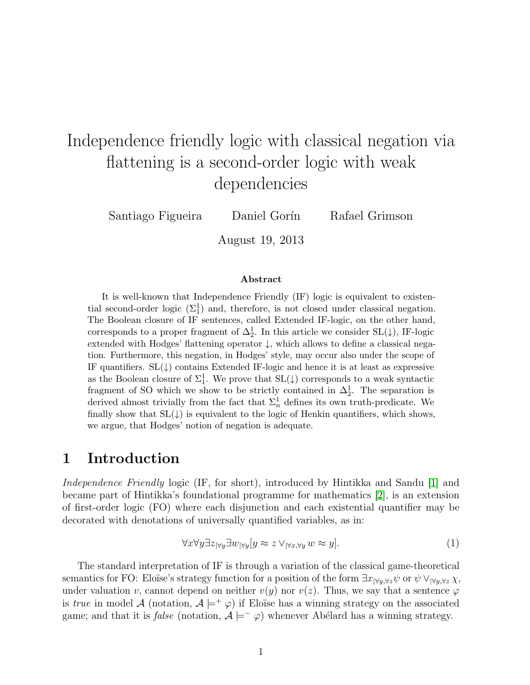# Independence friendly logic with classical negation via flattening is a second-order logic with weak dependencies

Santiago Figueira Daniel Gorín Rafael Grimson

August 19, 2013

#### Abstract

It is well-known that Independence Friendly (IF) logic is equivalent to existential second-order logic  $(\Sigma_1^1)$  and, therefore, is not closed under classical negation. The Boolean closure of IF sentences, called Extended IF-logic, on the other hand, corresponds to a proper fragment of  $\Delta_2^1$ . In this article we consider SL( $\downarrow$ ), IF-logic extended with Hodges' flattening operator  $\downarrow$ , which allows to define a classical negation. Furthermore, this negation, in Hodges' style, may occur also under the scope of IF quantifiers.  $SL(\downarrow)$  contains Extended IF-logic and hence it is at least as expressive as the Boolean closure of  $\Sigma^1_1$ . We prove that  $SL(\downarrow)$  corresponds to a weak syntactic fragment of SO which we show to be strictly contained in  $\Delta_2^1$ . The separation is derived almost trivially from the fact that  $\Sigma_n^1$  defines its own truth-predicate. We finally show that  $SL(\downarrow)$  is equivalent to the logic of Henkin quantifiers, which shows, we argue, that Hodges' notion of negation is adequate.

#### <span id="page-0-0"></span>1 Introduction

Independence Friendly logic (IF, for short), introduced by Hintikka and Sandu [\[1\]](#page-25-0) and became part of Hintikka's foundational programme for mathematics [\[2\]](#page-25-1), is an extension of first-order logic (FO) where each disjunction and each existential quantifier may be decorated with denotations of universally quantified variables, as in:

$$
\forall x \forall y \exists z_{\forall y} \exists w_{\forall y} [y \approx z \lor_{\forall x, \forall y} w \approx y]. \tag{1}
$$

The standard interpretation of IF is through a variation of the classical game-theoretical semantics for FO: Eloïse's strategy function for a position of the form  $\exists x_{|\forall y,\forall z}\psi$  or  $\psi \vee_{|\forall y,\forall z}\chi$ , under valuation v, cannot depend on neither  $v(y)$  nor  $v(z)$ . Thus, we say that a sentence  $\varphi$ is true in model A (notation,  $A \models^+ \varphi$ ) if Eloïse has a winning strategy on the associated game; and that it is *false* (notation,  $A \models^- \varphi$ ) whenever Abélard has a winning strategy.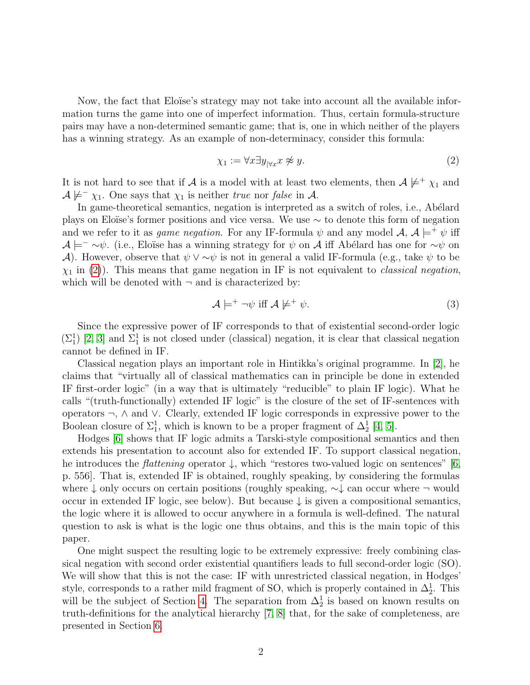Now, the fact that Eloïse's strategy may not take into account all the available information turns the game into one of imperfect information. Thus, certain formula-structure pairs may have a non-determined semantic game; that is, one in which neither of the players has a winning strategy. As an example of non-determinacy, consider this formula:

<span id="page-1-0"></span>
$$
\chi_1 := \forall x \exists y_{|\forall x} x \not\approx y. \tag{2}
$$

It is not hard to see that if A is a model with at least two elements, then  $A \not\models^+ \chi_1$  and  $\mathcal{A} \not\models^{\mathcal{I}} \chi_1$ . One says that  $\chi_1$  is neither true nor false in  $\mathcal{A}$ .

In game-theoretical semantics, negation is interpreted as a switch of roles, i.e., Abélard plays on Eloïse's former positions and vice versa. We use  $\sim$  to denote this form of negation and we refer to it as *game negation*. For any IF-formula  $\psi$  and any model  $\mathcal{A}, \mathcal{A} \models^+ \psi$  iff  $\mathcal{A} \models^- \sim \psi$ . (i.e., Eloïse has a winning strategy for  $\psi$  on  $\mathcal{A}$  iff Abélard has one for  $\sim \psi$  on A). However, observe that  $\psi \vee \neg \psi$  is not in general a valid IF-formula (e.g., take  $\psi$  to be  $\chi_1$  in [\(2\)](#page-1-0)). This means that game negation in IF is not equivalent to *classical negation*, which will be denoted with  $\neg$  and is characterized by:

$$
\mathcal{A} \models^+ \neg \psi \text{ iff } \mathcal{A} \not\models^+ \psi. \tag{3}
$$

Since the expressive power of IF corresponds to that of existential second-order logic  $(\Sigma_1^1)$  [\[2,](#page-25-1) [3\]](#page-25-2) and  $\Sigma_1^1$  is not closed under (classical) negation, it is clear that classical negation cannot be defined in IF.

Classical negation plays an important role in Hintikka's original programme. In [\[2\]](#page-25-1), he claims that "virtually all of classical mathematics can in principle be done in extended IF first-order logic" (in a way that is ultimately "reducible" to plain IF logic). What he calls "(truth-functionally) extended IF logic" is the closure of the set of IF-sentences with operators ¬, ∧ and ∨. Clearly, extended IF logic corresponds in expressive power to the Boolean closure of  $\Sigma_1^1$ , which is known to be a proper fragment of  $\Delta_2^1$  [\[4,](#page-25-3) [5\]](#page-25-4).

Hodges [\[6\]](#page-25-5) shows that IF logic admits a Tarski-style compositional semantics and then extends his presentation to account also for extended IF. To support classical negation, he introduces the *flattening* operator  $\downarrow$ , which "restores two-valued logic on sentences" [\[6,](#page-25-5) p. 556]. That is, extended IF is obtained, roughly speaking, by considering the formulas where ↓ only occurs on certain positions (roughly speaking, ∼↓ can occur where ¬ would occur in extended IF logic, see below). But because  $\downarrow$  is given a compositional semantics, the logic where it is allowed to occur anywhere in a formula is well-defined. The natural question to ask is what is the logic one thus obtains, and this is the main topic of this paper.

One might suspect the resulting logic to be extremely expressive: freely combining classical negation with second order existential quantifiers leads to full second-order logic (SO). We will show that this is not the case: IF with unrestricted classical negation, in Hodges' style, corresponds to a rather mild fragment of SO, which is properly contained in  $\Delta_2^1$ . This will be the subject of Section [4.](#page-10-0) The separation from  $\Delta_2^1$  is based on known results on truth-definitions for the analytical hierarchy [\[7,](#page-25-6) [8\]](#page-25-7) that, for the sake of completeness, are presented in Section [6.](#page-20-0)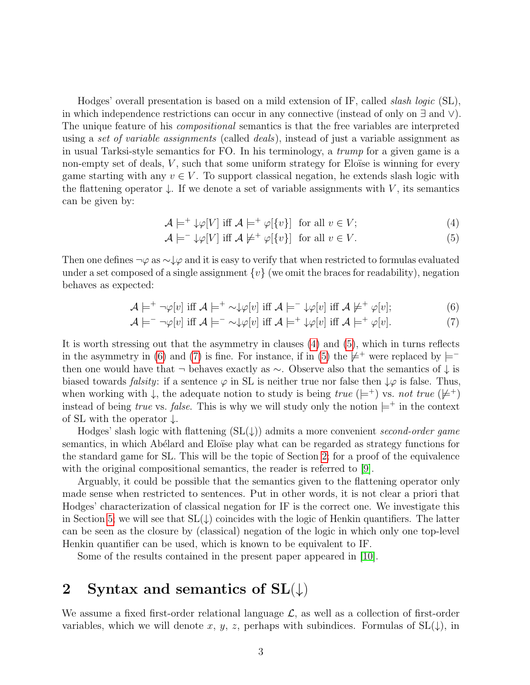Hodges' overall presentation is based on a mild extension of IF, called *slash logic* (SL), in which independence restrictions can occur in any connective (instead of only on ∃ and ∨). The unique feature of his *compositional* semantics is that the free variables are interpreted using a set of variable assignments (called deals), instead of just a variable assignment as in usual Tarksi-style semantics for FO. In his terminology, a trump for a given game is a non-empty set of deals,  $V$ , such that some uniform strategy for Eloïse is winning for every game starting with any  $v \in V$ . To support classical negation, he extends slash logic with the flattening operator  $\downarrow$ . If we denote a set of variable assignments with V, its semantics can be given by:

<span id="page-2-0"></span>
$$
\mathcal{A} \models^+ \downarrow \varphi[V] \text{ iff } \mathcal{A} \models^+ \varphi[\{v\}] \text{ for all } v \in V; \tag{4}
$$

<span id="page-2-3"></span><span id="page-2-2"></span><span id="page-2-1"></span>
$$
\mathcal{A} \models^- \downarrow \varphi[V] \text{ iff } \mathcal{A} \not\models^+ \varphi[\{v\}] \text{ for all } v \in V. \tag{5}
$$

Then one defines  $\neg \varphi$  as  $\sim \downarrow \varphi$  and it is easy to verify that when restricted to formulas evaluated under a set composed of a single assignment  $\{v\}$  (we omit the braces for readability), negation behaves as expected:

$$
\mathcal{A} \models^+ \neg \varphi[v] \text{ iff } \mathcal{A} \models^+ \sim \downarrow \varphi[v] \text{ iff } \mathcal{A} \models^- \downarrow \varphi[v] \text{ iff } \mathcal{A} \not\models^+ \varphi[v]; \tag{6}
$$

$$
\mathcal{A} \models^- \neg \varphi[v] \text{ iff } \mathcal{A} \models^- \sim \downarrow \varphi[v] \text{ iff } \mathcal{A} \models^+ \downarrow \varphi[v] \text{ iff } \mathcal{A} \models^+ \varphi[v]. \tag{7}
$$

It is worth stressing out that the asymmetry in clauses [\(4\)](#page-2-0) and [\(5\)](#page-2-1), which in turns reflects in the asymmetry in [\(6\)](#page-2-2) and [\(7\)](#page-2-3) is fine. For instance, if in [\(5\)](#page-2-1) the  $\neq$ <sup>+</sup> were replaced by  $\models$ <sup>-</sup> then one would have that  $\neg$  behaves exactly as  $\sim$ . Observe also that the semantics of  $\downarrow$  is biased towards *falsity*: if a sentence  $\varphi$  in SL is neither true nor false then  $\downarrow \varphi$  is false. Thus, when working with  $\downarrow$ , the adequate notion to study is being true ( $\models^+$ ) vs. not true ( $\models^+$ ) instead of being true vs. false. This is why we will study only the notion  $\models^+$  in the context of SL with the operator  $\downarrow$ .

Hodges' slash logic with flattening  $(SL(\downarrow))$  admits a more convenient second-order game semantics, in which Abélard and Eloïse play what can be regarded as strategy functions for the standard game for SL. This will be the topic of Section [2;](#page-2-4) for a proof of the equivalence with the original compositional semantics, the reader is referred to [\[9\]](#page-25-8).

Arguably, it could be possible that the semantics given to the flattening operator only made sense when restricted to sentences. Put in other words, it is not clear a priori that Hodges' characterization of classical negation for IF is the correct one. We investigate this in Section [5;](#page-19-0) we will see that  $SL(\downarrow)$  coincides with the logic of Henkin quantifiers. The latter can be seen as the closure by (classical) negation of the logic in which only one top-level Henkin quantifier can be used, which is known to be equivalent to IF.

Some of the results contained in the present paper appeared in [\[10\]](#page-25-9).

### <span id="page-2-4"></span>2 Syntax and semantics of  $SL(\downarrow)$

We assume a fixed first-order relational language  $\mathcal{L}$ , as well as a collection of first-order variables, which we will denote x, y, z, perhaps with subindices. Formulas of  $SL(\downarrow)$ , in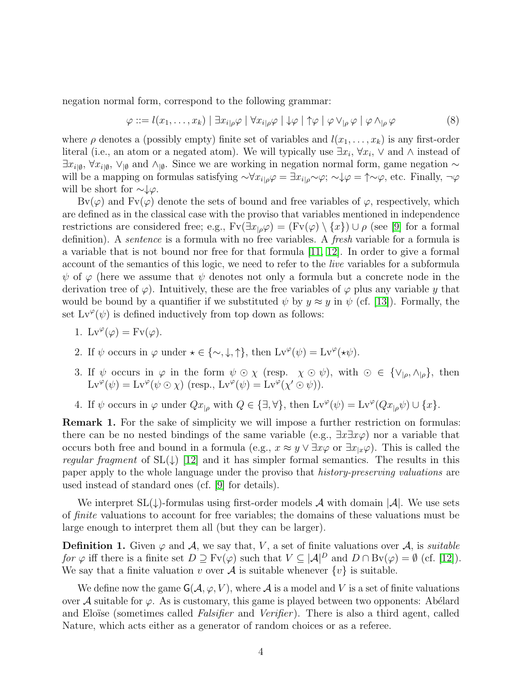negation normal form, correspond to the following grammar:

$$
\varphi ::= l(x_1, \dots, x_k) | \exists x_{i|\rho} \varphi | \forall x_{i|\rho} \varphi | \downarrow \varphi | \uparrow \varphi | \varphi \vee_{|\rho} \varphi | \varphi \wedge_{|\rho} \varphi
$$
 (8)

where  $\rho$  denotes a (possibly empty) finite set of variables and  $l(x_1, \ldots, x_k)$  is any first-order literal (i.e., an atom or a negated atom). We will typically use  $\exists x_i, \forall x_i, \vee \text{ and } \wedge \text{ instead of }$  $\exists x_{i|\emptyset}, \forall x_{i|\emptyset}, \forall y_{\emptyset}$  and  $\wedge_{\emptyset}$ . Since we are working in negation normal form, game negation  $\sim$ will be a mapping on formulas satisfying  $\sim \forall x_{i|\rho}\varphi = \exists x_{i|\rho}\sim \varphi; \neg \psi \varphi = \uparrow \sim \varphi$ , etc. Finally,  $\neg \varphi$ will be short for  $\sim\downarrow\varphi$ .

 $Bv(\varphi)$  and  $Fv(\varphi)$  denote the sets of bound and free variables of  $\varphi$ , respectively, which are defined as in the classical case with the proviso that variables mentioned in independence restrictions are considered free; e.g.,  $Fv(\exists x_{p}\varphi) = (Fv(\varphi) \setminus \{x\}) \cup \rho$  (see [\[9\]](#page-25-8) for a formal definition). A sentence is a formula with no free variables. A fresh variable for a formula is a variable that is not bound nor free for that formula [\[11,](#page-25-10) [12\]](#page-26-0). In order to give a formal account of the semantics of this logic, we need to refer to the *live* variables for a subformula  $\psi$  of  $\varphi$  (here we assume that  $\psi$  denotes not only a formula but a concrete node in the derivation tree of  $\varphi$ ). Intuitively, these are the free variables of  $\varphi$  plus any variable y that would be bound by a quantifier if we substituted  $\psi$  by  $y \approx y$  in  $\psi$  (cf. [\[13\]](#page-26-1)). Formally, the set  $Lv^{\varphi}(\psi)$  is defined inductively from top down as follows:

- 1. Lv $^{\varphi}(\varphi) = \text{Fv}(\varphi)$ .
- 2. If  $\psi$  occurs in  $\varphi$  under  $\star \in \{\sim, \downarrow, \uparrow\}$ , then  $Lv^{\varphi}(\psi) = Lv^{\varphi}(\star \psi)$ .
- 3. If  $\psi$  occurs in  $\varphi$  in the form  $\psi \odot \chi$  (resp.  $\chi \odot \psi$ ), with  $\odot \in {\{\vee_{\vert \rho}, \wedge_{\vert \rho}\}}$ , then  $Lv^{\varphi}(\psi) = Lv^{\varphi}(\psi \odot \chi)$  (resp.,  $Lv^{\varphi}(\psi) = Lv^{\varphi}(\chi' \odot \psi)$ ).
- 4. If  $\psi$  occurs in  $\varphi$  under  $Qx_{|\rho}$  with  $Q \in \{\exists, \forall\}$ , then  $Lv^{\varphi}(\psi) = Lv^{\varphi}(Qx_{|\rho}\psi) \cup \{x\}$ .

<span id="page-3-0"></span>Remark 1. For the sake of simplicity we will impose a further restriction on formulas: there can be no nested bindings of the same variable (e.g.,  $\exists x \exists x \varphi$ ) nor a variable that occurs both free and bound in a formula (e.g.,  $x \approx y \vee \exists x \varphi$  or  $\exists x_{x} \varphi$ ). This is called the regular fragment of  $SL(\downarrow)$  [\[12\]](#page-26-0) and it has simpler formal semantics. The results in this paper apply to the whole language under the proviso that history-preserving valuations are used instead of standard ones (cf. [\[9\]](#page-25-8) for details).

We interpret  $SL(\downarrow)$ -formulas using first-order models A with domain  $|\mathcal{A}|$ . We use sets of finite valuations to account for free variables; the domains of these valuations must be large enough to interpret them all (but they can be larger).

**Definition 1.** Given  $\varphi$  and  $\mathcal{A}$ , we say that, V, a set of finite valuations over  $\mathcal{A}$ , is suitable for  $\varphi$  iff there is a finite set  $D \supset Fv(\varphi)$  such that  $V \subseteq |\mathcal{A}|^D$  and  $D \cap \text{Bv}(\varphi) = \emptyset$  (cf. [\[12\]](#page-26-0)). We say that a finite valuation v over A is suitable whenever  $\{v\}$  is suitable.

We define now the game  $\mathsf{G}(\mathcal{A}, \varphi, V)$ , where  $\mathcal{A}$  is a model and V is a set of finite valuations over A suitable for  $\varphi$ . As is customary, this game is played between two opponents: Abélard and Eloïse (sometimes called *Falsifier* and *Verifier*). There is also a third agent, called Nature, which acts either as a generator of random choices or as a referee.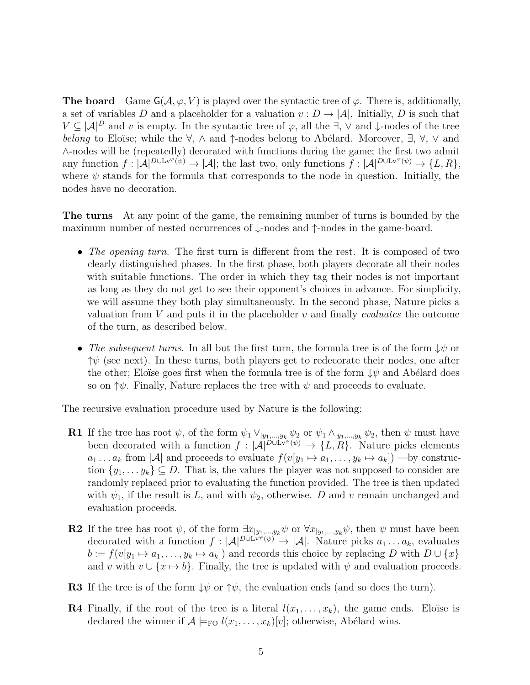**The board** Game  $G(\mathcal{A}, \varphi, V)$  is played over the syntactic tree of  $\varphi$ . There is, additionally, a set of variables D and a placeholder for a valuation  $v : D \to |A|$ . Initially, D is such that  $V \subseteq |A|^D$  and v is empty. In the syntactic tree of  $\varphi$ , all the  $\exists$ ,  $\vee$  and  $\downarrow$ -nodes of the tree belong to Eloïse; while the  $\forall$ ,  $\wedge$  and  $\uparrow$ -nodes belong to Abélard. Moreover,  $\exists$ ,  $\forall$ ,  $\vee$  and ∧-nodes will be (repeatedly) decorated with functions during the game; the first two admit any function  $f: |\mathcal{A}|^{D\cup L_v\varphi(\psi)} \to |\mathcal{A}|$ ; the last two, only functions  $f: |\mathcal{A}|^{D\cup L_v\varphi(\psi)} \to \{L, R\},$ where  $\psi$  stands for the formula that corresponds to the node in question. Initially, the nodes have no decoration.

The turns At any point of the game, the remaining number of turns is bounded by the maximum number of nested occurrences of ↓-nodes and ↑-nodes in the game-board.

- The opening turn. The first turn is different from the rest. It is composed of two clearly distinguished phases. In the first phase, both players decorate all their nodes with suitable functions. The order in which they tag their nodes is not important as long as they do not get to see their opponent's choices in advance. For simplicity, we will assume they both play simultaneously. In the second phase, Nature picks a valuation from  $V$  and puts it in the placeholder  $v$  and finally *evaluates* the outcome of the turn, as described below.
- The subsequent turns. In all but the first turn, the formula tree is of the form  $\downarrow \psi$  or  $\uparrow \psi$  (see next). In these turns, both players get to redecorate their nodes, one after the other; Eloüse goes first when the formula tree is of the form  $\downarrow \psi$  and Abélard does so on  $\uparrow \psi$ . Finally, Nature replaces the tree with  $\psi$  and proceeds to evaluate.

The recursive evaluation procedure used by Nature is the following:

- **R1** If the tree has root  $\psi$ , of the form  $\psi_1 \vee_{|y_1,...,y_k} \psi_2$  or  $\psi_1 \wedge_{|y_1,...,y_k} \psi_2$ , then  $\psi$  must have been decorated with a function  $f : |\mathcal{A}|^{D \cup L_v^{\infty}(\psi)} \to \{L, R\}$ . Nature picks elements  $a_1 \ldots a_k$  from  $|\mathcal{A}|$  and proceeds to evaluate  $f(v[y_1 \mapsto a_1, \ldots, y_k \mapsto a_k])$  —by construction  $\{y_1, \ldots y_k\} \subseteq D$ . That is, the values the player was not supposed to consider are randomly replaced prior to evaluating the function provided. The tree is then updated with  $\psi_1$ , if the result is L, and with  $\psi_2$ , otherwise. D and v remain unchanged and evaluation proceeds.
- **R2** If the tree has root  $\psi$ , of the form  $\exists x_{|y_1,...,y_k} \psi$  or  $\forall x_{|y_1,...,y_k} \psi$ , then  $\psi$  must have been decorated with a function  $f : |\mathcal{A}|^{D \cup L_v^{\omega} \tilde{\varphi}(\psi)} \to |\mathcal{A}|$ . Nature picks  $a_1 \dots a_k$ , evaluates  $b := f(v[y_1 \mapsto a_1, \ldots, y_k \mapsto a_k])$  and records this choice by replacing D with  $D \cup \{x\}$ and v with  $v \cup \{x \mapsto b\}$ . Finally, the tree is updated with  $\psi$  and evaluation proceeds.
- **R3** If the tree is of the form  $\downarrow \psi$  or  $\uparrow \psi$ , the evaluation ends (and so does the turn).
- **R4** Finally, if the root of the tree is a literal  $l(x_1, \ldots, x_k)$ , the game ends. Eloüse is declared the winner if  $A \models_{\text{FO}} l(x_1, \ldots, x_k)[v]$ ; otherwise, Abélard wins.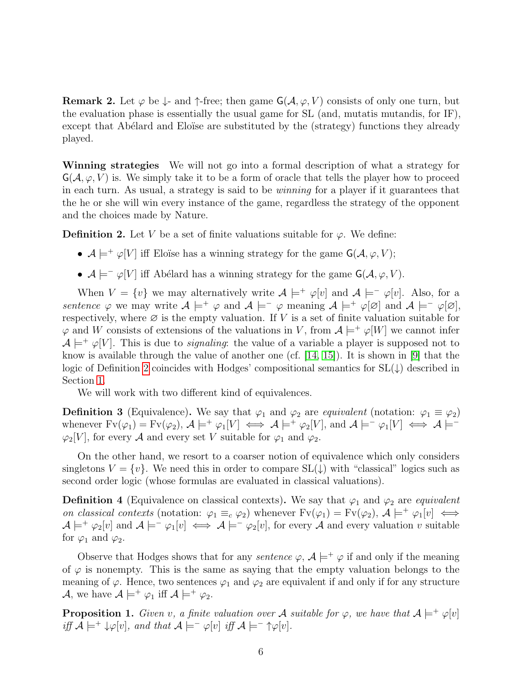**Remark 2.** Let  $\varphi$  be  $\downarrow$ - and  $\uparrow$ -free; then game  $G(\mathcal{A}, \varphi, V)$  consists of only one turn, but the evaluation phase is essentially the usual game for SL (and, mutatis mutandis, for IF), except that Abélard and Eloïse are substituted by the (strategy) functions they already played.

Winning strategies We will not go into a formal description of what a strategy for  $G(\mathcal{A}, \varphi, V)$  is. We simply take it to be a form of oracle that tells the player how to proceed in each turn. As usual, a strategy is said to be winning for a player if it guarantees that the he or she will win every instance of the game, regardless the strategy of the opponent and the choices made by Nature.

<span id="page-5-0"></span>**Definition 2.** Let V be a set of finite valuations suitable for  $\varphi$ . We define:

- $\mathcal{A} \models^+ \varphi[V]$  iff Eloïse has a winning strategy for the game  $\mathsf{G}(\mathcal{A}, \varphi, V);$
- $\mathcal{A} \models^- \varphi[V]$  iff Abélard has a winning strategy for the game  $\mathsf{G}(\mathcal{A}, \varphi, V)$ .

When  $V = \{v\}$  we may alternatively write  $\mathcal{A} \models^+ \varphi[v]$  and  $\mathcal{A} \models^- \varphi[v]$ . Also, for a sentence  $\varphi$  we may write  $\mathcal{A} \models^+ \varphi$  and  $\mathcal{A} \models^- \varphi$  meaning  $\mathcal{A} \models^+ \varphi[\varnothing]$  and  $\mathcal{A} \models^- \varphi[\varnothing]$ , respectively, where  $\varnothing$  is the empty valuation. If V is a set of finite valuation suitable for  $\varphi$  and W consists of extensions of the valuations in V, from  $\mathcal{A} \models^+ \varphi[W]$  we cannot infer  $A \models^+ \varphi[V]$ . This is due to *signaling*: the value of a variable a player is supposed not to know is available through the value of another one (cf.  $[14, 15]$  $[14, 15]$  $[14, 15]$ ). It is shown in [\[9\]](#page-25-8) that the logic of Definition [2](#page-5-0) coincides with Hodges' compositional semantics for SL(↓) described in Section [1.](#page-0-0)

We will work with two different kind of equivalences.

**Definition 3** (Equivalence). We say that  $\varphi_1$  and  $\varphi_2$  are *equivalent* (notation:  $\varphi_1 \equiv \varphi_2$ ) whenever  $Fv(\varphi_1) = Fv(\varphi_2)$ ,  $\mathcal{A} \models^+ \varphi_1[V] \iff \mathcal{A} \models^+ \varphi_2[V]$ , and  $\mathcal{A} \models^- \varphi_1[V] \iff \mathcal{A} \models^ \varphi_2[V]$ , for every A and every set V suitable for  $\varphi_1$  and  $\varphi_2$ .

On the other hand, we resort to a coarser notion of equivalence which only considers singletons  $V = \{v\}$ . We need this in order to compare  $SL(\downarrow)$  with "classical" logics such as second order logic (whose formulas are evaluated in classical valuations).

**Definition 4** (Equivalence on classical contexts). We say that  $\varphi_1$  and  $\varphi_2$  are *equivalent* on classical contexts (notation:  $\varphi_1 \equiv_c \varphi_2$ ) whenever  $Fv(\varphi_1) = Fv(\varphi_2)$ ,  $\mathcal{A} \models^+ \varphi_1[v] \iff$  $\mathcal{A} \models^+ \varphi_2[v]$  and  $\mathcal{A} \models^- \varphi_1[v] \iff \mathcal{A} \models^- \varphi_2[v]$ , for every  $\mathcal{A}$  and every valuation v suitable for  $\varphi_1$  and  $\varphi_2$ .

Observe that Hodges shows that for any *sentence*  $\varphi$ ,  $\mathcal{A} \models^+ \varphi$  if and only if the meaning of  $\varphi$  is nonempty. This is the same as saying that the empty valuation belongs to the meaning of  $\varphi$ . Hence, two sentences  $\varphi_1$  and  $\varphi_2$  are equivalent if and only if for any structure A, we have  $\mathcal{A} \models^+ \varphi_1$  iff  $\mathcal{A} \models^+ \varphi_2$ .

<span id="page-5-1"></span>**Proposition 1.** Given v, a finite valuation over A suitable for  $\varphi$ , we have that  $A \models^+ \varphi[v]$ iff  $\mathcal{A} \models^+ \downarrow \varphi[v]$ , and that  $\mathcal{A} \models^- \varphi[v]$  iff  $\mathcal{A} \models^- \uparrow \varphi[v]$ .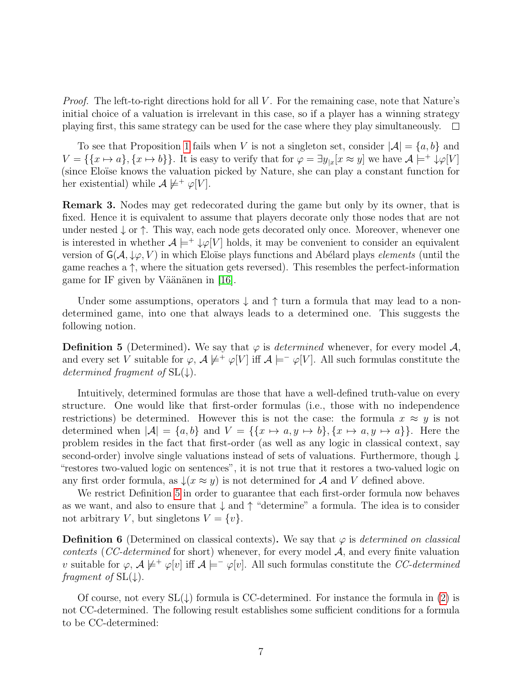*Proof.* The left-to-right directions hold for all  $V$ . For the remaining case, note that Nature's initial choice of a valuation is irrelevant in this case, so if a player has a winning strategy playing first, this same strategy can be used for the case where they play simultaneously.  $\Box$ 

To see that Proposition [1](#page-5-1) fails when V is not a singleton set, consider  $|\mathcal{A}| = \{a, b\}$  and  $V = \{\{x \mapsto a\}, \{x \mapsto b\}\}\.$  It is easy to verify that for  $\varphi = \exists y_{x} [x \approx y]$  we have  $\mathcal{A} \models^{+} \downarrow \varphi[V]$ (since Eloïse knows the valuation picked by Nature, she can play a constant function for her existential) while  $A \not\models^+ \varphi[V]$ .

<span id="page-6-2"></span>Remark 3. Nodes may get redecorated during the game but only by its owner, that is fixed. Hence it is equivalent to assume that players decorate only those nodes that are not under nested  $\downarrow$  or  $\uparrow$ . This way, each node gets decorated only once. Moreover, whenever one is interested in whether  $A \models^+ \downarrow \varphi[V]$  holds, it may be convenient to consider an equivalent version of  $\mathsf{G}(\mathcal{A}, \downarrow\varphi, V)$  in which Eloüse plays functions and Abélard plays *elements* (until the game reaches a  $\uparrow$ , where the situation gets reversed). This resembles the perfect-information game for IF given by Väänänen in  $[16]$ .

Under some assumptions, operators  $\downarrow$  and  $\uparrow$  turn a formula that may lead to a nondetermined game, into one that always leads to a determined one. This suggests the following notion.

<span id="page-6-0"></span>**Definition 5** (Determined). We say that  $\varphi$  is *determined* whenever, for every model A, and every set V suitable for  $\varphi$ ,  $\mathcal{A} \not\models^+ \varphi[V]$  iff  $\mathcal{A} \models^- \varphi[V]$ . All such formulas constitute the determined fragment of  $SL(\downarrow)$ .

Intuitively, determined formulas are those that have a well-defined truth-value on every structure. One would like that first-order formulas (i.e., those with no independence restrictions) be determined. However this is not the case: the formula  $x \approx y$  is not determined when  $|\mathcal{A}| = \{a, b\}$  and  $V = \{\{x \mapsto a, y \mapsto b\}, \{x \mapsto a, y \mapsto a\}\}\.$  Here the problem resides in the fact that first-order (as well as any logic in classical context, say second-order) involve single valuations instead of sets of valuations. Furthermore, though  $\downarrow$ "restores two-valued logic on sentences", it is not true that it restores a two-valued logic on any first order formula, as  $\downarrow$ ( $x \approx y$ ) is not determined for A and V defined above.

We restrict Definition [5](#page-6-0) in order to guarantee that each first-order formula now behaves as we want, and also to ensure that  $\downarrow$  and  $\uparrow$  "determine" a formula. The idea is to consider not arbitrary V, but singletons  $V = \{v\}.$ 

**Definition 6** (Determined on classical contexts). We say that  $\varphi$  is determined on classical contexts (CC-determined for short) whenever, for every model  $A$ , and every finite valuation v suitable for  $\varphi$ ,  $\mathcal{A} \not\models^+ \varphi[v]$  iff  $\mathcal{A} \models^- \varphi[v]$ . All such formulas constitute the CC-determined fragment of  $SL(\downarrow)$ .

<span id="page-6-1"></span>Of course, not every  $SL(\downarrow)$  formula is CC-determined. For instance the formula in [\(2\)](#page-1-0) is not CC-determined. The following result establishes some sufficient conditions for a formula to be CC-determined: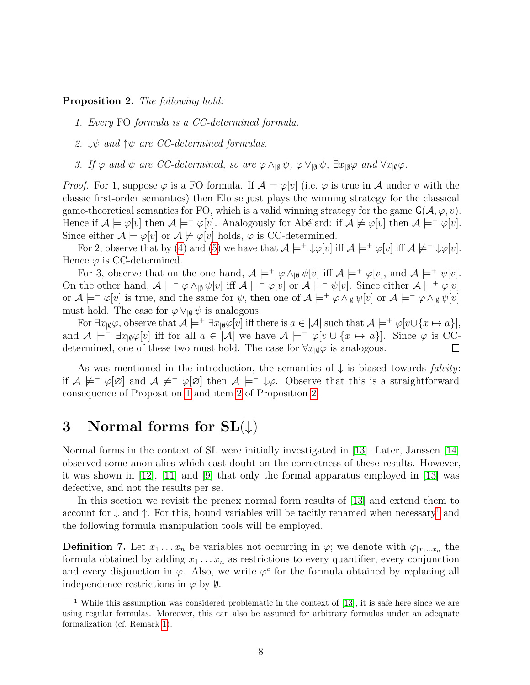#### Proposition 2. The following hold:

- 1. Every FO formula is a CC-determined formula.
- <span id="page-7-0"></span>2.  $\downarrow \psi$  and  $\uparrow \psi$  are CC-determined formulas.
- 3. If  $\varphi$  and  $\psi$  are CC-determined, so are  $\varphi \wedge_{\lbrack\emptyset}\psi$ ,  $\varphi \vee_{\lbrack\emptyset}\psi$ ,  $\exists x_{\lbrack\emptyset}\varphi$  and  $\forall x_{\lbrack\emptyset}\varphi$ .

*Proof.* For 1, suppose  $\varphi$  is a FO formula. If  $\mathcal{A} \models \varphi[v]$  (i.e.  $\varphi$  is true in  $\mathcal A$  under v with the classic first-order semantics) then Eloïse just plays the winning strategy for the classical game-theoretical semantics for FO, which is a valid winning strategy for the game  $\mathsf{G}(\mathcal{A}, \varphi, v)$ . Hence if  $\mathcal{A} \models \varphi[v]$  then  $\mathcal{A} \models^+ \varphi[v]$ . Analogously for Abélard: if  $\mathcal{A} \not\models \varphi[v]$  then  $\mathcal{A} \models^- \varphi[v]$ . Since either  $\mathcal{A} \models \varphi[v]$  or  $\mathcal{A} \not\models \varphi[v]$  holds,  $\varphi$  is CC-determined.

For 2, observe that by [\(4\)](#page-2-0) and [\(5\)](#page-2-1) we have that  $\mathcal{A} \models^+ \downarrow \varphi[v]$  iff  $\mathcal{A} \models^+ \varphi[v]$  iff  $\mathcal{A} \not\models^- \downarrow \varphi[v]$ . Hence  $\varphi$  is CC-determined.

For 3, observe that on the one hand,  $\mathcal{A} \models^+ \varphi \wedge_{\mathfrak{g}} \psi[v]$  iff  $\mathcal{A} \models^+ \varphi[v]$ , and  $\mathcal{A} \models^+ \psi[v]$ . On the other hand,  $\mathcal{A} \models^-\varphi \wedge_{\mathfrak{g}} \psi[v]$  iff  $\mathcal{A} \models^-\varphi[v]$  or  $\mathcal{A} \models^-\psi[v]$ . Since either  $\mathcal{A} \models^+\varphi[v]$ or  $\mathcal{A} \models^- \varphi[v]$  is true, and the same for  $\psi$ , then one of  $\mathcal{A} \models^+ \varphi \wedge_{\lbrack \varnothing} \psi[v]$  or  $\mathcal{A} \models^- \varphi \wedge_{\lbrack \varnothing} \psi[v]$ must hold. The case for  $\varphi \vee_{\mathfrak{g}} \psi$  is analogous.

For  $\exists x_{\vert \emptyset} \varphi$ , observe that  $\mathcal{A} \models^+ \exists x_{\vert \emptyset} \varphi[v]$  iff there is  $a \in |\mathcal{A}|$  such that  $\mathcal{A} \models^+ \varphi[v \cup \{x \mapsto a\}],$ and  $A \models^- \exists x_{\mid \emptyset} \varphi[v]$  iff for all  $a \in |A|$  we have  $A \models^- \varphi[v \cup \{x \mapsto a\}]$ . Since  $\varphi$  is CCdetermined, one of these two must hold. The case for  $\forall x_{\text{I}\emptyset}\varphi$  is analogous.  $\Box$ 

As was mentioned in the introduction, the semantics of  $\downarrow$  is biased towards *falsity*: if  $A \not\models^+ \varphi[\varnothing]$  and  $A \not\models^- \varphi[\varnothing]$  then  $A \models^- \psi$ . Observe that this is a straightforward consequence of Proposition [1](#page-5-1) and item [2](#page-7-0) of Proposition [2.](#page-6-1)

# 3 Normal forms for  $SL(\downarrow)$

Normal forms in the context of SL were initially investigated in [\[13\]](#page-26-1). Later, Janssen [\[14\]](#page-26-2) observed some anomalies which cast doubt on the correctness of these results. However, it was shown in [\[12\]](#page-26-0), [\[11\]](#page-25-10) and [\[9\]](#page-25-8) that only the formal apparatus employed in [\[13\]](#page-26-1) was defective, and not the results per se.

In this section we revisit the prenex normal form results of [\[13\]](#page-26-1) and extend them to account for  $\downarrow$  and  $\uparrow$ . For this, bound variables will be tacitly renamed when necessary<sup>[1](#page-7-1)</sup> and the following formula manipulation tools will be employed.

**Definition 7.** Let  $x_1 \ldots x_n$  be variables not occurring in  $\varphi$ ; we denote with  $\varphi_{x_1 \ldots x_n}$  the formula obtained by adding  $x_1 \ldots x_n$  as restrictions to every quantifier, every conjunction and every disjunction in  $\varphi$ . Also, we write  $\varphi^c$  for the formula obtained by replacing all independence restrictions in  $\varphi$  by  $\emptyset$ .

<span id="page-7-1"></span><sup>&</sup>lt;sup>1</sup> While this assumption was considered problematic in the context of [\[13\]](#page-26-1), it is safe here since we are using regular formulas. Moreover, this can also be assumed for arbitrary formulas under an adequate formalization (cf. Remark [1\)](#page-3-0).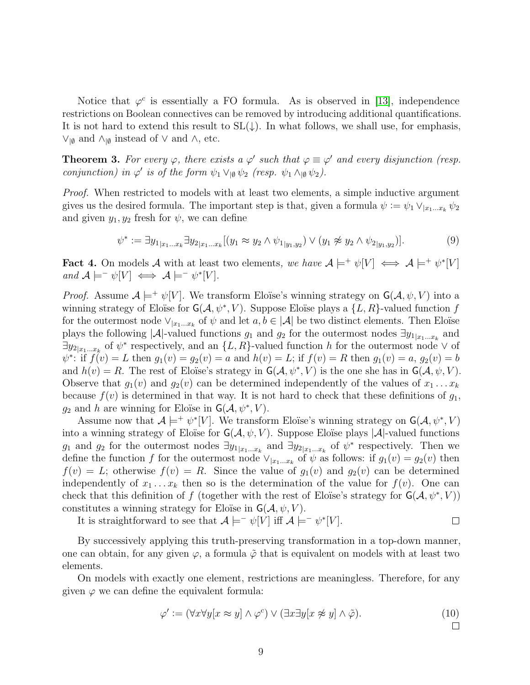Notice that  $\varphi^c$  is essentially a FO formula. As is observed in [\[13\]](#page-26-1), independence restrictions on Boolean connectives can be removed by introducing additional quantifications. It is not hard to extend this result to  $SL(\downarrow)$ . In what follows, we shall use, for emphasis,  $\vee$ <sub>|Ø</sub> and  $\wedge$ <sub>|Ø</sub> instead of  $\vee$  and  $\wedge$ , etc.

<span id="page-8-1"></span>**Theorem 3.** For every  $\varphi$ , there exists a  $\varphi'$  such that  $\varphi \equiv \varphi'$  and every disjunction (resp. conjunction) in  $\varphi'$  is of the form  $\psi_1 \vee_{\vert \emptyset} \psi_2$  (resp.  $\psi_1 \wedge_{\vert \emptyset} \psi_2$ ).

*Proof.* When restricted to models with at least two elements, a simple inductive argument gives us the desired formula. The important step is that, given a formula  $\psi := \psi_1 \vee_{x_1...x_k} \psi_2$ and given  $y_1, y_2$  fresh for  $\psi$ , we can define

<span id="page-8-0"></span>
$$
\psi^* := \exists y_{1|x_1...x_k} \exists y_{2|x_1...x_k} [(y_1 \approx y_2 \land \psi_{1|y_1,y_2}) \lor (y_1 \not\approx y_2 \land \psi_{2|y_1,y_2})]. \tag{9}
$$

**Fact 4.** On models A with at least two elements, we have  $A \models^+ \psi[V] \iff A \models^+ \psi^*[V]$ and  $\mathcal{A} \models^- \psi[V] \iff \mathcal{A} \models^- \psi^*[V].$ 

*Proof.* Assume  $A \models^+ \psi[V]$ . We transform Eloïse's winning strategy on  $G(A, \psi, V)$  into a winning strategy of Eloïse for  $\mathsf{G}(\mathcal{A}, \psi^*, V)$ . Suppose Eloïse plays a  $\{L, R\}$ -valued function f for the outermost node  $\vee_{x_1...x_k}$  of  $\psi$  and let  $a, b \in |\mathcal{A}|$  be two distinct elements. Then Eloïse plays the following |A|-valued functions  $g_1$  and  $g_2$  for the outermost nodes  $\exists y_{1|x_1...x_k}$  and  $\exists y_{2|x_1...x_k}$  of  $\psi^*$  respectively, and an  $\{L, R\}$ -valued function h for the outermost node  $\vee$  of  $\psi^*$ : if  $f(v) = L$  then  $g_1(v) = g_2(v) = a$  and  $h(v) = L$ ; if  $f(v) = R$  then  $g_1(v) = a$ ,  $g_2(v) = b$ and  $h(v) = R$ . The rest of Eloïse's strategy in  $G(A, \psi^*, V)$  is the one she has in  $G(A, \psi, V)$ . Observe that  $g_1(v)$  and  $g_2(v)$  can be determined independently of the values of  $x_1 \ldots x_k$ because  $f(v)$  is determined in that way. It is not hard to check that these definitions of  $g_1$ ,  $g_2$  and h are winning for Eloïse in  $\mathsf{G}(\mathcal{A}, \psi^*, V)$ .

Assume now that  $\mathcal{A} \models^+ \psi^*[V]$ . We transform Eloïse's winning strategy on  $\mathsf{G}(\mathcal{A}, \psi^*, V)$ into a winning strategy of Eloïse for  $G(\mathcal{A}, \psi, V)$ . Suppose Eloïse plays  $|\mathcal{A}|$ -valued functions g<sub>1</sub> and  $g_2$  for the outermost nodes  $\exists y_1|_{x_1...x_k}$  and  $\exists y_2|_{x_1...x_k}$  of  $\psi^*$  respectively. Then we define the function f for the outermost node  $\vee_{x_1...x_k}$  of  $\psi$  as follows: if  $g_1(v) = g_2(v)$  then  $f(v) = L$ ; otherwise  $f(v) = R$ . Since the value of  $g_1(v)$  and  $g_2(v)$  can be determined independently of  $x_1 \ldots x_k$  then so is the determination of the value for  $f(v)$ . One can check that this definition of f (together with the rest of Eloïse's strategy for  $\mathsf{G}(\mathcal{A}, \psi^*, V)$ ) constitutes a winning strategy for Eloïse in  $G(\mathcal{A}, \psi, V)$ .

It is straightforward to see that  $\mathcal{A} \models^- \psi[V]$  iff  $\mathcal{A} \models^- \psi^*[V]$ .

By successively applying this truth-preserving transformation in a top-down manner, one can obtain, for any given  $\varphi$ , a formula  $\tilde{\varphi}$  that is equivalent on models with at least two elements.

On models with exactly one element, restrictions are meaningless. Therefore, for any given  $\varphi$  we can define the equivalent formula:

$$
\varphi' := (\forall x \forall y [x \approx y] \land \varphi^c) \lor (\exists x \exists y [x \not\approx y] \land \tilde{\varphi}).
$$
\n
$$
\Box
$$
\n
$$
\Box
$$

 $\Box$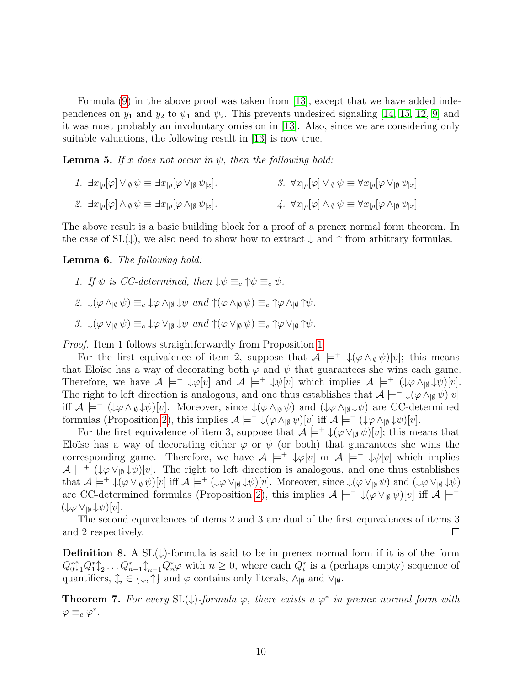Formula  $(9)$  in the above proof was taken from [\[13\]](#page-26-1), except that we have added independences on  $y_1$  and  $y_2$  to  $\psi_1$  and  $\psi_2$ . This prevents undesired signaling [\[14,](#page-26-2) [15,](#page-26-3) [12,](#page-26-0) [9\]](#page-25-8) and it was most probably an involuntary omission in [\[13\]](#page-26-1). Also, since we are considering only suitable valuations, the following result in [\[13\]](#page-26-1) is now true.

<span id="page-9-0"></span>**Lemma 5.** If x does not occur in  $\psi$ , then the following hold:

- 1.  $\exists x_{\vert\rho}[\varphi] \vee_{\vert\emptyset} \psi \equiv \exists x_{\vert\rho}[\varphi \vee_{\vert\emptyset} \psi_{\vert x}].$ 3.  $\forall x_{\alpha}[\varphi] \vee_{\alpha} \psi \equiv \forall x_{\alpha}[\varphi \vee_{\alpha} \psi_{\alpha}].$
- 2.  $\exists x_{\alpha}[\varphi] \wedge_{\alpha} \psi \equiv \exists x_{\alpha}[\varphi \wedge_{\alpha} \psi_{\alpha}].$ 4.  $\forall x_{\alpha}[\varphi] \wedge_{\alpha} \psi \equiv \forall x_{\alpha}[\varphi \wedge_{\alpha} \psi_{\alpha}].$

The above result is a basic building block for a proof of a prenex normal form theorem. In the case of  $SL(\downarrow)$ , we also need to show how to extract  $\downarrow$  and  $\uparrow$  from arbitrary formulas.

<span id="page-9-1"></span>Lemma 6. The following hold:

- 1. If  $\psi$  is CC-determined, then  $\downarrow \psi \equiv_c \uparrow \psi \equiv_c \psi$ .
- 2.  $\downarrow(\varphi \wedge_{\mathfrak{g}} \psi) \equiv_c \downarrow \varphi \wedge_{\mathfrak{g}} \downarrow \psi$  and  $\uparrow(\varphi \wedge_{\mathfrak{g}} \psi) \equiv_c \uparrow \varphi \wedge_{\mathfrak{g}} \uparrow \psi$ .
- 3.  $\downarrow(\varphi \vee_{\mathfrak{g}} \psi) \equiv_c \downarrow \varphi \vee_{\mathfrak{g}} \downarrow \psi$  and  $\uparrow(\varphi \vee_{\mathfrak{g}} \psi) \equiv_c \uparrow \varphi \vee_{\mathfrak{g}} \uparrow \psi$ .

Proof. Item 1 follows straightforwardly from Proposition [1.](#page-5-1)

For the first equivalence of item 2, suppose that  $\mathcal{A} \models^+ \downarrow(\varphi \wedge_{\{0\}} \psi)[v]$ ; this means that Eloïse has a way of decorating both  $\varphi$  and  $\psi$  that guarantees she wins each game. Therefore, we have  $\mathcal{A} \models^+ \downarrow \varphi[v]$  and  $\mathcal{A} \models^+ \downarrow \psi[v]$  which implies  $\mathcal{A} \models^+ (\downarrow \varphi \wedge_{\lvert \emptyset} \downarrow \psi)[v]$ . The right to left direction is analogous, and one thus establishes that  $\mathcal{A} \models^+ \downarrow (\varphi \wedge_{\mathfrak{g}} \psi)[v]$ iff  $\mathcal{A} \models^+ (\downarrow \varphi \wedge_{\mathfrak{g}} \downarrow \psi)[v]$ . Moreover, since  $\downarrow (\varphi \wedge_{\mathfrak{g}} \psi)$  and  $(\downarrow \varphi \wedge_{\mathfrak{g}} \downarrow \psi)$  are CC-determined formulas (Proposition [2\)](#page-6-1), this implies  $\mathcal{A} \models^- \downarrow(\varphi \wedge_{\mathfrak{g}} \psi)[v]$  iff  $\mathcal{A} \models^- (\downarrow\varphi \wedge_{\mathfrak{g}} \downarrow\psi)[v]$ .

For the first equivalence of item 3, suppose that  $\mathcal{A} \models^+ \downarrow (\varphi \vee_{\mathfrak{g}} \psi)[v]$ ; this means that Eloïse has a way of decorating either  $\varphi$  or  $\psi$  (or both) that guarantees she wins the corresponding game. Therefore, we have  $A \models^+ \psi[v]$  or  $A \models^+ \psi[v]$  which implies  $\mathcal{A} \models^+ (\downarrow \varphi \vee_{\vert \emptyset} \downarrow \psi)[v]$ . The right to left direction is analogous, and one thus establishes that  $\mathcal{A} \models^+ \downarrow (\varphi \vee_{\lbrack \emptyset} \psi) [v]$  iff  $\mathcal{A} \models^+ (\downarrow \varphi \vee_{\lbrack \emptyset} \downarrow \psi) [v]$ . Moreover, since  $\downarrow (\varphi \vee_{\lbrack \emptyset} \psi)$  and  $(\downarrow \varphi \vee_{\lbrack \emptyset} \downarrow \psi)$ are CC-determined formulas (Proposition [2\)](#page-6-1), this implies  $\mathcal{A} \models^- \downarrow (\varphi \vee_{\lbrack \emptyset} \psi)[v]$  iff  $\mathcal{A} \models^ (\downarrow \varphi \vee_{\vert \emptyset} \downarrow \psi) \vert v \vert.$ 

The second equivalences of items 2 and 3 are dual of the first equivalences of items 3 and 2 respectively.  $\Box$ 

**Definition 8.** A  $SL(\downarrow)$ -formula is said to be in prenex normal form if it is of the form  $Q_0^*\mathcal{L}_1 Q_1^*\mathcal{L}_2 \ldots Q_{n-1}^*\mathcal{L}_{n-1} Q_n^*\varphi$  with  $n \geq 0$ , where each  $Q_i^*$  is a (perhaps empty) sequence of quantifiers,  $\mathcal{L}_i \in \{\downarrow, \uparrow\}$  and  $\varphi$  contains only literals,  $\wedge_{\lvert \emptyset}$  and  $\vee_{\lvert \emptyset}$ .

**Theorem 7.** For every  $SL(\downarrow)$ -formula  $\varphi$ , there exists a  $\varphi^*$  in prenex normal form with  $\varphi \equiv_c \varphi^*$ .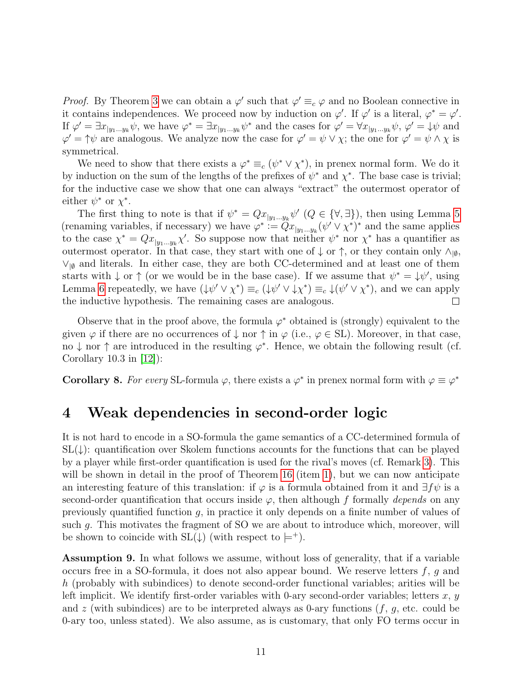*Proof.* By Theorem [3](#page-8-1) we can obtain a  $\varphi'$  such that  $\varphi' \equiv_c \varphi$  and no Boolean connective in it contains independences. We proceed now by induction on  $\varphi'$ . If  $\varphi'$  is a literal,  $\varphi^* = \varphi'$ . If  $\varphi' = \exists x_{y_1...y_k} \psi$ , we have  $\varphi^* = \exists x_{y_1...y_k} \psi^*$  and the cases for  $\varphi' = \forall x_{y_1...y_k} \psi$ ,  $\varphi' = \psi \psi$  and  $\varphi' = \uparrow \psi$  are analogous. We analyze now the case for  $\varphi' = \psi \vee \chi$ ; the one for  $\varphi' = \psi \wedge \chi$  is symmetrical.

We need to show that there exists a  $\varphi^* \equiv_c (\psi^* \vee \chi^*)$ , in prenex normal form. We do it by induction on the sum of the lengths of the prefixes of  $\psi^*$  and  $\chi^*$ . The base case is trivial; for the inductive case we show that one can always "extract" the outermost operator of either  $\psi^*$  or  $\chi^*$ .

The first thing to note is that if  $\psi^* = Qx_{|y_1...y_k} \psi'$   $(Q \in {\forall, \exists})$ , then using Lemma [5](#page-9-0) (renaming variables, if necessary) we have  $\varphi^* := \tilde{Q} x_{y_1...y_k} (\psi' \vee \chi^*)^*$  and the same applies to the case  $\chi^* = Qx_{|y_1...y_k}\chi'$ . So suppose now that neither  $\psi^*$  nor  $\chi^*$  has a quantifier as outermost operator. In that case, they start with one of  $\downarrow$  or  $\uparrow$ , or they contain only  $\wedge_{\lbrack\emptyset\rbrack}$  $\vee_{\vert \emptyset}$  and literals. In either case, they are both CC-determined and at least one of them starts with  $\downarrow$  or  $\uparrow$  (or we would be in the base case). If we assume that  $\psi^* = \downarrow \psi'$ , using Lemma [6](#page-9-1) repeatedly, we have  $(\psi' \vee \chi^*) \equiv_c (\psi' \vee \psi \chi^*) \equiv_c \psi' \vee \chi^*$ , and we can apply the inductive hypothesis. The remaining cases are analogous.  $\Box$ 

Observe that in the proof above, the formula  $\varphi^*$  obtained is (strongly) equivalent to the given  $\varphi$  if there are no occurrences of  $\downarrow$  nor  $\uparrow$  in  $\varphi$  (i.e.,  $\varphi \in SL$ ). Moreover, in that case, no  $\downarrow$  nor  $\uparrow$  are introduced in the resulting  $\varphi^*$ . Hence, we obtain the following result (cf. Corollary 10.3 in [\[12\]](#page-26-0)):

**Corollary 8.** For every SL-formula  $\varphi$ , there exists a  $\varphi^*$  in prenex normal form with  $\varphi \equiv \varphi^*$ 

### <span id="page-10-0"></span>4 Weak dependencies in second-order logic

It is not hard to encode in a SO-formula the game semantics of a CC-determined formula of  $SL(\downarrow)$ : quantification over Skolem functions accounts for the functions that can be played by a player while first-order quantification is used for the rival's moves (cf. Remark [3\)](#page-6-2). This will be shown in detail in the proof of Theorem [16](#page-15-0) (item [1\)](#page-15-1), but we can now anticipate an interesting feature of this translation: if  $\varphi$  is a formula obtained from it and  $\exists f\psi$  is a second-order quantification that occurs inside  $\varphi$ , then although f formally depends on any previously quantified function g, in practice it only depends on a finite number of values of such g. This motivates the fragment of SO we are about to introduce which, moreover, will be shown to coincide with  $SL(\downarrow)$  (with respect to  $\models^+$ ).

<span id="page-10-1"></span>Assumption 9. In what follows we assume, without loss of generality, that if a variable occurs free in a SO-formula, it does not also appear bound. We reserve letters  $f, g$  and h (probably with subindices) to denote second-order functional variables; arities will be left implicit. We identify first-order variables with 0-ary second-order variables; letters  $x, y$ and z (with subindices) are to be interpreted always as 0-ary functions  $(f, g, \text{etc.} \text{ could be}$ 0-ary too, unless stated). We also assume, as is customary, that only FO terms occur in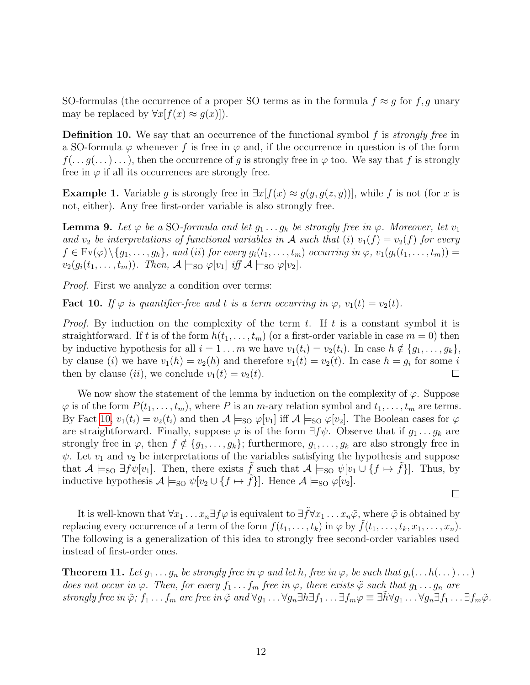SO-formulas (the occurrence of a proper SO terms as in the formula  $f \approx g$  for  $f, g$  unary may be replaced by  $\forall x[f(x) \approx g(x)]$ .

**Definition 10.** We say that an occurrence of the functional symbol  $f$  is *strongly free* in a SO-formula  $\varphi$  whenever f is free in  $\varphi$  and, if the occurrence in question is of the form  $f(\ldots g(\ldots)\ldots)$ , then the occurrence of g is strongly free in  $\varphi$  too. We say that f is strongly free in  $\varphi$  if all its occurrences are strongly free.

**Example 1.** Variable g is strongly free in  $\exists x[f(x) \approx g(y, g(z, y))]$ , while f is not (for x is not, either). Any free first-order variable is also strongly free.

**Lemma 9.** Let  $\varphi$  be a SO-formula and let  $g_1 \ldots g_k$  be strongly free in  $\varphi$ . Moreover, let  $v_1$ and  $v_2$  be interpretations of functional variables in A such that (i)  $v_1(f) = v_2(f)$  for every  $f \in \text{Fv}(\varphi) \setminus \{g_1, \ldots, g_k\}$ , and (ii) for every  $g_i(t_1, \ldots, t_m)$  occurring in  $\varphi$ ,  $v_1(g_i(t_1, \ldots, t_m)) =$  $v_2(g_i(t_1,\ldots,t_m))$ . Then,  $\mathcal{A}\models_{\text{SO}}\varphi[v_1]$  iff  $\mathcal{A}\models_{\text{SO}}\varphi[v_2]$ .

Proof. First we analyze a condition over terms:

<span id="page-11-0"></span>**Fact 10.** If  $\varphi$  is quantifier-free and t is a term occurring in  $\varphi$ ,  $v_1(t) = v_2(t)$ .

*Proof.* By induction on the complexity of the term t. If t is a constant symbol it is straightforward. If t is of the form  $h(t_1, \ldots, t_m)$  (or a first-order variable in case  $m = 0$ ) then by inductive hypothesis for all  $i = 1 \ldots m$  we have  $v_1(t_i) = v_2(t_i)$ . In case  $h \notin \{g_1, \ldots, g_k\}$ , by clause (*i*) we have  $v_1(h) = v_2(h)$  and therefore  $v_1(t) = v_2(t)$ . In case  $h = g_i$  for some *i* then by clause (ii), we conclude  $v_1(t) = v_2(t)$ .  $\mathbf{L}$ 

We now show the statement of the lemma by induction on the complexity of  $\varphi$ . Suppose  $\varphi$  is of the form  $P(t_1, \ldots, t_m)$ , where P is an m-ary relation symbol and  $t_1, \ldots, t_m$  are terms. By Fact [10,](#page-11-0)  $v_1(t_i) = v_2(t_i)$  and then  $\mathcal{A} \models_{\text{SO}} \varphi[v_1]$  iff  $\mathcal{A} \models_{\text{SO}} \varphi[v_2]$ . The Boolean cases for  $\varphi$ are straightforward. Finally, suppose  $\varphi$  is of the form  $\exists f\psi$ . Observe that if  $g_1 \dots g_k$  are strongly free in  $\varphi$ , then  $f \notin \{g_1, \ldots, g_k\}$ ; furthermore,  $g_1, \ldots, g_k$  are also strongly free in  $\psi$ . Let  $v_1$  and  $v_2$  be interpretations of the variables satisfying the hypothesis and suppose that  $\mathcal{A} \models_{\text{SO}} \exists f \psi[v_1]$ . Then, there exists f such that  $\mathcal{A} \models_{\text{SO}} \psi[v_1 \cup \{f \mapsto f\}]$ . Thus, by inductive hypothesis  $\mathcal{A} \models_{\text{SO}} \psi[v_2 \cup \{f \mapsto \tilde{f}\}]$ . Hence  $\mathcal{A} \models_{\text{SO}} \varphi[v_2]$ .

 $\Box$ 

It is well-known that  $\forall x_1 \ldots x_n \exists f \varphi$  is equivalent to  $\exists \tilde{f} \forall x_1 \ldots x_n \tilde{\varphi}$ , where  $\tilde{\varphi}$  is obtained by replacing every occurrence of a term of the form  $f(t_1, \ldots, t_k)$  in  $\varphi$  by  $f(t_1, \ldots, t_k, x_1, \ldots, x_n)$ . The following is a generalization of this idea to strongly free second-order variables used instead of first-order ones.

<span id="page-11-1"></span>**Theorem 11.** Let  $g_1 \ldots g_n$  be strongly free in  $\varphi$  and let h, free in  $\varphi$ , be such that  $g_i(\ldots h(\ldots) \ldots)$ does not occur in  $\varphi$ . Then, for every  $f_1 \ldots f_m$  free in  $\varphi$ , there exists  $\tilde{\varphi}$  such that  $g_1 \ldots g_n$  are strongly free in  $\tilde{\varphi}$ ;  $f_1 \ldots f_m$  are free in  $\tilde{\varphi}$  and  $\forall g_1 \ldots \forall g_n \exists h \exists f_1 \ldots \exists f_m \varphi \equiv \exists \tilde{h} \forall g_1 \ldots \forall g_n \exists f_1 \ldots \exists f_m \tilde{\varphi}$ .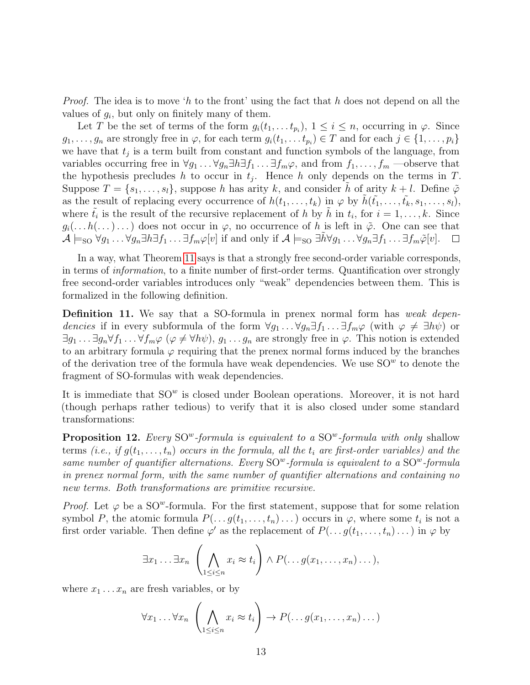*Proof.* The idea is to move 'h to the front' using the fact that h does not depend on all the values of  $g_i$ , but only on finitely many of them.

Let T be the set of terms of the form  $g_i(t_1, \ldots t_{p_i}), 1 \leq i \leq n$ , occurring in  $\varphi$ . Since  $g_1, \ldots, g_n$  are strongly free in  $\varphi$ , for each term  $g_i(t_1, \ldots t_{p_i}) \in T$  and for each  $j \in \{1, \ldots, p_i\}$ we have that  $t_j$  is a term built from constant and function symbols of the language, from variables occurring free in  $\forall g_1 \dots \forall g_n \exists h \exists f_1 \dots \exists f_m \varphi$ , and from  $f_1, \dots, f_m$  —observe that the hypothesis precludes h to occur in  $t_j$ . Hence h only depends on the terms in T. Suppose  $T = \{s_1, \ldots, s_l\}$ , suppose h has arity k, and consider h of arity  $k + l$ . Define  $\tilde{\varphi}$ as the result of replacing every occurrence of  $h(t_1, \ldots, t_k)$  in  $\varphi$  by  $\tilde{h}(\tilde{t_1}, \ldots, \tilde{t_k}, s_1, \ldots, s_l)$ , where  $\tilde{t}_i$  is the result of the recursive replacement of h by  $\tilde{h}$  in  $t_i$ , for  $i = 1, \ldots, k$ . Since  $g_i(\ldots h(\ldots)\ldots)$  does not occur in  $\varphi$ , no occurrence of h is left in  $\tilde{\varphi}$ . One can see that  $\mathcal{A} \models_{\text{SO}} \forall g_1 \dots \forall g_n \exists h \exists f_1 \dots \exists f_m \varphi[v]$  if and only if  $\mathcal{A} \models_{\text{SO}} \exists h \forall g_1 \dots \forall g_n \exists f_1 \dots \exists f_m \tilde{\varphi}[v]$ .  $\Box$ 

In a way, what Theorem [11](#page-11-1) says is that a strongly free second-order variable corresponds, in terms of information, to a finite number of first-order terms. Quantification over strongly free second-order variables introduces only "weak" dependencies between them. This is formalized in the following definition.

**Definition 11.** We say that a SO-formula in prenex normal form has weak dependencies if in every subformula of the form  $\forall g_1 \dots \forall g_n \exists f_1 \dots \exists f_m \varphi$  (with  $\varphi \neq \exists h \psi$ ) or  $\exists g_1 \ldots \exists g_n \forall f_1 \ldots \forall f_m \varphi \ (\varphi \neq \forall h \psi), g_1 \ldots g_n$  are strongly free in  $\varphi$ . This notion is extended to an arbitrary formula  $\varphi$  requiring that the prenex normal forms induced by the branches of the derivation tree of the formula have weak dependencies. We use  $SO<sup>w</sup>$  to denote the fragment of SO-formulas with weak dependencies.

It is immediate that  $SO<sup>w</sup>$  is closed under Boolean operations. Moreover, it is not hard (though perhaps rather tedious) to verify that it is also closed under some standard transformations:

<span id="page-12-0"></span>**Proposition 12.** Every SO<sup>w</sup>-formula is equivalent to a SO<sup>w</sup>-formula with only shallow terms (i.e., if  $g(t_1, \ldots, t_n)$  occurs in the formula, all the  $t_i$  are first-order variables) and the same number of quantifier alternations. Every  $\mathrm{SO}^w$ -formula is equivalent to a  $\mathrm{SO}^w$ -formula in prenex normal form, with the same number of quantifier alternations and containing no new terms. Both transformations are primitive recursive.

*Proof.* Let  $\varphi$  be a SO<sup>w</sup>-formula. For the first statement, suppose that for some relation symbol P, the atomic formula  $P(\ldots g(t_1,\ldots,t_n)\ldots)$  occurs in  $\varphi$ , where some  $t_i$  is not a first order variable. Then define  $\varphi'$  as the replacement of  $P(\ldots g(t_1,\ldots,t_n)\ldots)$  in  $\varphi$  by

$$
\exists x_1 \dots \exists x_n \left( \bigwedge_{1 \leq i \leq n} x_i \approx t_i \right) \wedge P(\dots g(x_1, \dots, x_n) \dots),
$$

where  $x_1 \ldots x_n$  are fresh variables, or by

$$
\forall x_1 \dots \forall x_n \left( \bigwedge_{1 \leq i \leq n} x_i \approx t_i \right) \to P(\dots g(x_1, \dots, x_n) \dots)
$$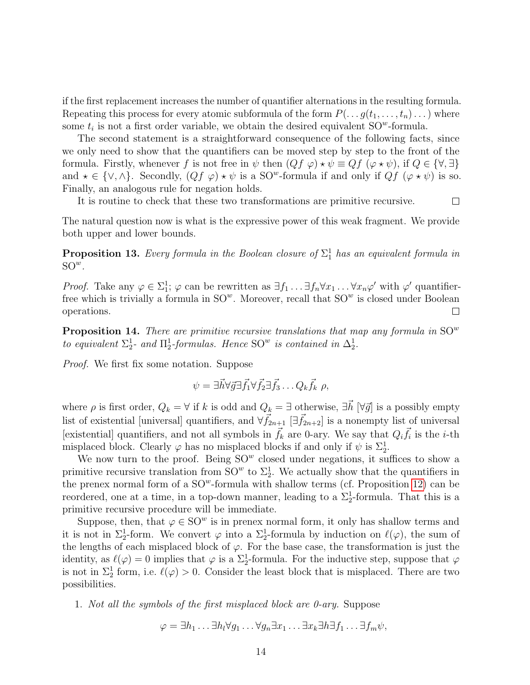if the first replacement increases the number of quantifier alternations in the resulting formula. Repeating this process for every atomic subformula of the form  $P(\ldots g(t_1, \ldots, t_n) \ldots)$  where some  $t_i$  is not a first order variable, we obtain the desired equivalent  $\text{SO}^w$ -formula.

The second statement is a straightforward consequence of the following facts, since we only need to show that the quantifiers can be moved step by step to the front of the formula. Firstly, whenever f is not free in  $\psi$  then  $(Qf \varphi) \star \psi \equiv Qf (\varphi \star \psi)$ , if  $Q \in {\forall, \exists}$ and  $\star \in \{\vee, \wedge\}$ . Secondly,  $(Qf \varphi) \star \psi$  is a SO<sup>w</sup>-formula if and only if  $Qf (\varphi \star \psi)$  is so. Finally, an analogous rule for negation holds.

It is routine to check that these two transformations are primitive recursive.  $\Box$ 

The natural question now is what is the expressive power of this weak fragment. We provide both upper and lower bounds.

**Proposition 13.** Every formula in the Boolean closure of  $\Sigma_1^1$  has an equivalent formula in  $\mathrm{SO}^w$ .

*Proof.* Take any  $\varphi \in \Sigma_1^1$ ;  $\varphi$  can be rewritten as  $\exists f_1 \dots \exists f_n \forall x_1 \dots \forall x_n \varphi'$  with  $\varphi'$  quantifierfree which is trivially a formula in  $SO^w$ . Moreover, recall that  $SO^w$  is closed under Boolean operations.  $\Box$ 

<span id="page-13-0"></span>**Proposition 14.** There are primitive recursive translations that map any formula in  $SO<sup>w</sup>$ to equivalent  $\Sigma^1_2$ - and  $\Pi^1_2$ -formulas. Hence  $\mathrm{SO}^w$  is contained in  $\Delta^1_2$ .

Proof. We first fix some notation. Suppose

$$
\psi = \exists \vec{h} \forall \vec{g} \exists \vec{f_1} \forall \vec{f_2} \exists \vec{f_3} \dots Q_k \vec{f_k} \; \rho,
$$

where  $\rho$  is first order,  $Q_k = \forall$  if k is odd and  $Q_k = \exists$  otherwise,  $\exists h \; [\forall \vec{g}]$  is a possibly empty list of existential [universal] quantifiers, and  $\forall \vec{f}_{2n+1}$  [ $\exists \vec{f}_{2n+2}$ ] is a nonempty list of universal [existential] quantifiers, and not all symbols in  $\vec{f}_k$  are 0-ary. We say that  $Q_i \vec{f}_i$  is the *i*-th misplaced block. Clearly  $\varphi$  has no misplaced blocks if and only if  $\psi$  is  $\Sigma_2^1$ .

We now turn to the proof. Being  $SO<sup>w</sup>$  closed under negations, it suffices to show a primitive recursive translation from  $SO^w$  to  $\Sigma^1_2$ . We actually show that the quantifiers in the prenex normal form of a  $SO^w$ -formula with shallow terms (cf. Proposition [12\)](#page-12-0) can be reordered, one at a time, in a top-down manner, leading to a  $\Sigma_2^1$ -formula. That this is a primitive recursive procedure will be immediate.

Suppose, then, that  $\varphi \in SO^w$  is in prenex normal form, it only has shallow terms and it is not in  $\Sigma_2^1$ -form. We convert  $\varphi$  into a  $\Sigma_2^1$ -formula by induction on  $\ell(\varphi)$ , the sum of the lengths of each misplaced block of  $\varphi$ . For the base case, the transformation is just the identity, as  $\ell(\varphi) = 0$  implies that  $\varphi$  is a  $\Sigma_2^1$ -formula. For the inductive step, suppose that  $\varphi$ is not in  $\Sigma_2^1$  form, i.e.  $\ell(\varphi) > 0$ . Consider the least block that is misplaced. There are two possibilities.

1. Not all the symbols of the first misplaced block are 0-ary. Suppose

$$
\varphi = \exists h_1 \dots \exists h_l \forall g_1 \dots \forall g_n \exists x_1 \dots \exists x_k \exists h \exists f_1 \dots \exists f_m \psi,
$$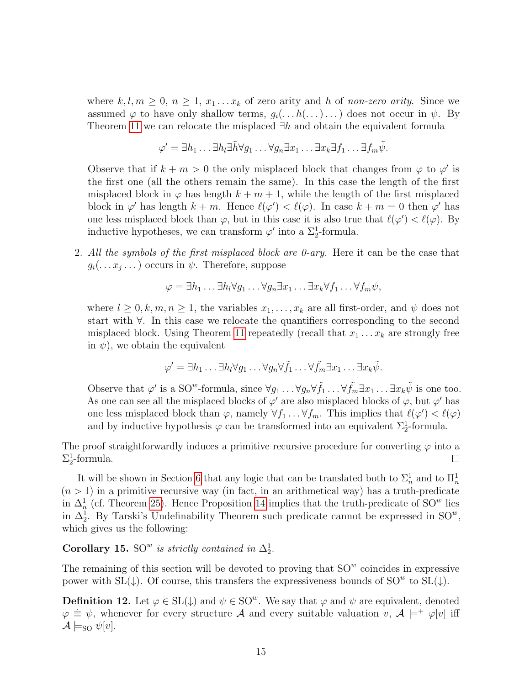where  $k, l, m \geq 0, n \geq 1, x_1...x_k$  of zero arity and h of non-zero arity. Since we assumed  $\varphi$  to have only shallow terms,  $g_i(\ldots h(\ldots)\ldots)$  does not occur in  $\psi$ . By Theorem [11](#page-11-1) we can relocate the misplaced  $\exists h$  and obtain the equivalent formula

$$
\varphi' = \exists h_1 \dots \exists h_l \exists \tilde{h} \forall g_1 \dots \forall g_n \exists x_1 \dots \exists x_k \exists f_1 \dots \exists f_m \tilde{\psi}.
$$

Observe that if  $k + m > 0$  the only misplaced block that changes from  $\varphi$  to  $\varphi'$  is the first one (all the others remain the same). In this case the length of the first misplaced block in  $\varphi$  has length  $k + m + 1$ , while the length of the first misplaced block in  $\varphi'$  has length  $k + m$ . Hence  $\ell(\varphi') < \ell(\varphi)$ . In case  $k + m = 0$  then  $\varphi'$  has one less misplaced block than  $\varphi$ , but in this case it is also true that  $\ell(\varphi') < \ell(\varphi)$ . By inductive hypotheses, we can transform  $\varphi'$  into a  $\Sigma^1_2$ -formula.

2. All the symbols of the first misplaced block are 0-ary. Here it can be the case that  $g_i(\ldots x_j \ldots)$  occurs in  $\psi$ . Therefore, suppose

$$
\varphi = \exists h_1 \dots \exists h_l \forall g_1 \dots \forall g_n \exists x_1 \dots \exists x_k \forall f_1 \dots \forall f_m \psi,
$$

where  $l \geq 0, k, m, n \geq 1$ , the variables  $x_1, \ldots, x_k$  are all first-order, and  $\psi$  does not start with ∀. In this case we relocate the quantifiers corresponding to the second misplaced block. Using Theorem [11](#page-11-1) repeatedly (recall that  $x_1 \ldots x_k$  are strongly free in  $\psi$ ), we obtain the equivalent

$$
\varphi' = \exists h_1 \dots \exists h_l \forall g_1 \dots \forall g_n \forall \tilde{f}_1 \dots \forall \tilde{f}_m \exists x_1 \dots \exists x_k \tilde{\psi}.
$$

Observe that  $\varphi'$  is a SO<sup>w</sup>-formula, since  $\forall g_1 \dots \forall g_n \forall \tilde{f}_1 \dots \forall \tilde{f}_m \exists x_1 \dots \exists x_k \tilde{\psi}$  is one too. As one can see all the misplaced blocks of  $\varphi'$  are also misplaced blocks of  $\varphi$ , but  $\varphi'$  has one less misplaced block than  $\varphi$ , namely  $\forall f_1 \dots \forall f_m$ . This implies that  $\ell(\varphi) < \ell(\varphi)$ and by inductive hypothesis  $\varphi$  can be transformed into an equivalent  $\Sigma^1_2$ -formula.

The proof straightforwardly induces a primitive recursive procedure for converting  $\varphi$  into a  $\Sigma^1_2$ -formula.  $\Box$ 

It will be shown in Section [6](#page-20-0) that any logic that can be translated both to  $\Sigma_n^1$  and to  $\Pi_n^1$  $(n > 1)$  in a primitive recursive way (in fact, in an arithmetical way) has a truth-predicate in  $\Delta_n^1$  (cf. Theorem [25\)](#page-23-0). Hence Proposition [14](#page-13-0) implies that the truth-predicate of SO<sup>w</sup> lies in  $\Delta_2^1$ . By Tarski's Undefinability Theorem such predicate cannot be expressed in SO<sup>w</sup>, which gives us the following:

#### Corollary 15. SO<sup>w</sup> is strictly contained in  $\Delta_2^1$ .

The remaining of this section will be devoted to proving that  $SO<sup>w</sup>$  coincides in expressive power with SL( $\downarrow$ ). Of course, this transfers the expressiveness bounds of SO<sup>w</sup> to SL( $\downarrow$ ).

**Definition 12.** Let  $\varphi \in SL(\downarrow)$  and  $\psi \in SO^w$ . We say that  $\varphi$  and  $\psi$  are equivalent, denoted  $\varphi \equiv \psi$ , whenever for every structure A and every suitable valuation v,  $A \models^+ \varphi[v]$  iff  $\mathcal{A} \models_{\text{SO}} \psi[v].$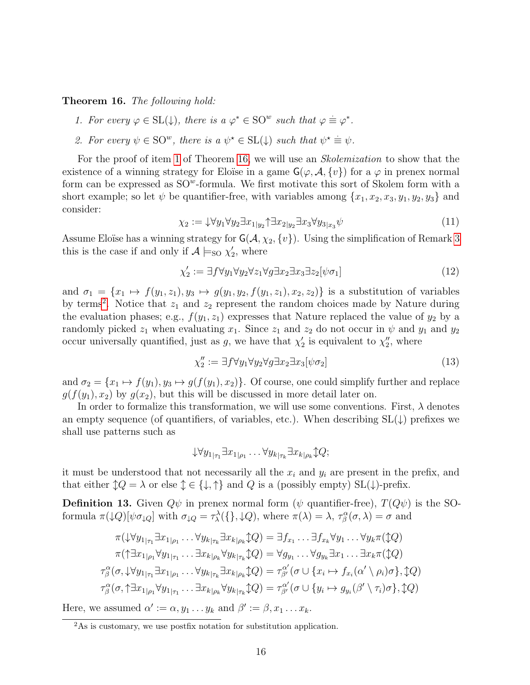<span id="page-15-1"></span><span id="page-15-0"></span>Theorem 16. The following hold:

- 1. For every  $\varphi \in SL(\downarrow)$ , there is  $a \varphi^* \in SO^w$  such that  $\varphi \equiv \varphi^*$ .
- <span id="page-15-5"></span>2. For every  $\psi \in \text{SO}^w$ , there is a  $\psi^* \in \text{SL}(1)$  such that  $\psi^* \equiv \psi$ .

For the proof of item [1](#page-15-1) of Theorem [16,](#page-15-0) we will use an *Skolemization* to show that the existence of a winning strategy for Eloïse in a game  $\mathsf{G}(\varphi,\mathcal{A},\{v\})$  for a  $\varphi$  in prenex normal form can be expressed as  $SO^w$ -formula. We first motivate this sort of Skolem form with a short example; so let  $\psi$  be quantifier-free, with variables among  $\{x_1, x_2, x_3, y_1, y_2, y_3\}$  and consider:

$$
\chi_2 := \downarrow \forall y_1 \forall y_2 \exists x_{1|y_2} \uparrow \exists x_{2|y_2} \exists x_3 \forall y_{3|x_3} \psi \tag{11}
$$

Assume Eloïse has a winning strategy for  $G(A, \chi_2, \{v\})$ . Using the simplification of Remark [3](#page-6-2) this is the case if and only if  $\mathcal{A} \models_{\text{SO}} \chi'_2$ , where

$$
\chi_2' := \exists f \forall y_1 \forall y_2 \forall z_1 \forall g \exists x_2 \exists x_3 \exists z_2 [\psi \sigma_1]
$$
\n
$$
(12)
$$

and  $\sigma_1 = \{x_1 \mapsto f(y_1, z_1), y_3 \mapsto g(y_1, y_2, f(y_1, z_1), x_2, z_2)\}\$ is a substitution of variables by terms<sup>[2](#page-15-2)</sup>. Notice that  $z_1$  and  $z_2$  represent the random choices made by Nature during the evaluation phases; e.g.,  $f(y_1, z_1)$  expresses that Nature replaced the value of  $y_2$  by a randomly picked  $z_1$  when evaluating  $x_1$ . Since  $z_1$  and  $z_2$  do not occur in  $\psi$  and  $y_1$  and  $y_2$ occur universally quantified, just as g, we have that  $\chi'_2$  is equivalent to  $\chi''_2$ , where

<span id="page-15-3"></span>
$$
\chi_2'' := \exists f \forall y_1 \forall y_2 \forall g \exists x_2 \exists x_3 [\psi \sigma_2]
$$
\n(13)

and  $\sigma_2 = \{x_1 \mapsto f(y_1), y_3 \mapsto g(f(y_1), x_2)\}\$ . Of course, one could simplify further and replace  $g(f(y_1), x_2)$  by  $g(x_2)$ , but this will be discussed in more detail later on.

In order to formalize this transformation, we will use some conventions. First,  $\lambda$  denotes an empty sequence (of quantifiers, of variables, etc.). When describing  $SL(\downarrow)$  prefixes we shall use patterns such as

$$
\downarrow \forall y_1_{|\tau_1} \exists x_1_{|\rho_1} \dots \forall y_{k_{|\tau_k}} \exists x_{k_{|\rho_k}} \updownarrow Q;
$$

it must be understood that not necessarily all the  $x_i$  and  $y_i$  are present in the prefix, and that either  $\updownarrow Q = \lambda$  or else  $\updownarrow \in \{\downarrow, \uparrow\}$  and Q is a (possibly empty) SL( $\downarrow$ )-prefix.

<span id="page-15-4"></span>**Definition 13.** Given  $Q\psi$  in prenex normal form ( $\psi$  quantifier-free),  $T(Q\psi)$  is the SOformula  $\pi(\downarrow Q)[\psi \sigma_{\downarrow Q}]$  with  $\sigma_{\downarrow Q} = \tau_\lambda^{\lambda}(\{\}, \downarrow Q)$ , where  $\pi(\lambda) = \lambda$ ,  $\tau_\beta^{\alpha}(\sigma, \lambda) = \sigma$  and

$$
\pi(\downarrow \forall y_{1|\tau_{1}} \exists x_{1|\rho_{1}} \dots \forall y_{k|\tau_{k}} \exists x_{k|\rho_{k}} \Diamond Q) = \exists f_{x_{1}} \dots \exists f_{x_{k}} \forall y_{1} \dots \forall y_{k} \pi(\Diamond Q)
$$
\n
$$
\pi(\uparrow \exists x_{1|\rho_{1}} \forall y_{1|\tau_{1}} \dots \exists x_{k|\rho_{k}} \forall y_{k|\tau_{k}} \Diamond Q) = \forall g_{y_{1}} \dots \forall g_{y_{k}} \exists x_{1} \dots \exists x_{k} \pi(\Diamond Q)
$$
\n
$$
\tau_{\beta}^{\alpha}(\sigma, \downarrow \forall y_{1|\tau_{1}} \exists x_{1|\rho_{1}} \dots \forall y_{k|\tau_{k}} \exists x_{k|\rho_{k}} \Diamond Q) = \tau_{\beta'}^{\alpha'}(\sigma \cup \{x_{i} \mapsto f_{x_{i}}(\alpha' \setminus \rho_{i}) \sigma\}, \Diamond Q)
$$
\n
$$
\tau_{\beta}^{\alpha}(\sigma, \uparrow \exists x_{1|\rho_{1}} \forall y_{1|\tau_{1}} \dots \exists x_{k|\rho_{k}} \forall y_{k|\tau_{k}} \Diamond Q) = \tau_{\beta'}^{\alpha'}(\sigma \cup \{y_{i} \mapsto g_{y_{i}}(\beta' \setminus \tau_{i}) \sigma\}, \Diamond Q)
$$

Here, we assumed  $\alpha' := \alpha, y_1 \dots y_k$  and  $\beta' := \beta, x_1 \dots x_k$ .

<span id="page-15-2"></span> $2\text{As}$  is customary, we use postfix notation for substitution application.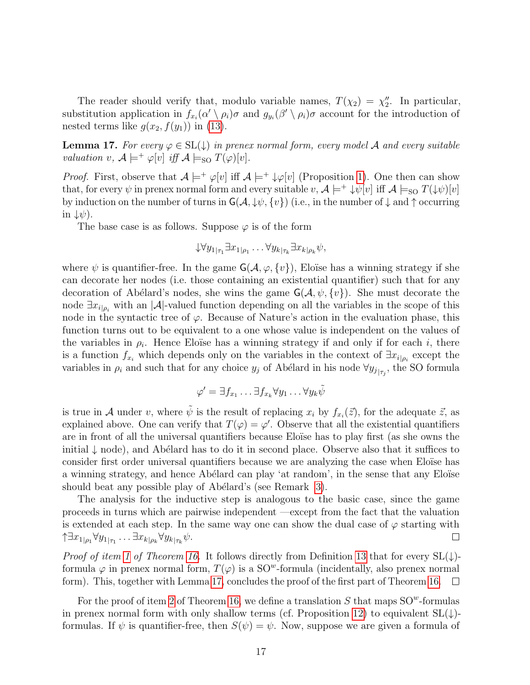The reader should verify that, modulo variable names,  $T(\chi_2) = \chi_2''$ . In particular, substitution application in  $f_{x_i}(\alpha' \setminus \rho_i)\sigma$  and  $g_{y_i}(\beta' \setminus \rho_i)\sigma$  account for the introduction of nested terms like  $g(x_2, f(y_1))$  in [\(13\)](#page-15-3).

<span id="page-16-0"></span>**Lemma 17.** For every  $\varphi \in SL(\downarrow)$  in prenex normal form, every model A and every suitable valuation v,  $\mathcal{A} \models^+ \varphi[v]$  iff  $\mathcal{A} \models_{\text{SO}} T(\varphi)[v]$ .

*Proof.* First, observe that  $A \models^+ \varphi[v]$  iff  $A \models^+ \psi[v]$  (Proposition [1\)](#page-5-1). One then can show that, for every  $\psi$  in prenex normal form and every suitable  $v, \mathcal{A} \models^+ \psi[v]$  iff  $\mathcal{A} \models_{\text{SO}} T(\psi)[v]$ by induction on the number of turns in  $G(\mathcal{A}, \psi, \{v\})$  (i.e., in the number of  $\downarrow$  and  $\uparrow$  occurring in  $\downarrow \psi$ ).

The base case is as follows. Suppose  $\varphi$  is of the form

$$
\downarrow \forall y_{1|\tau_1} \exists x_{1|\rho_1} \ldots \forall y_{k|\tau_k} \exists x_{k|\rho_k} \psi,
$$

where  $\psi$  is quantifier-free. In the game  $\mathsf{G}(\mathcal{A}, \varphi, \{v\})$ , Eloïse has a winning strategy if she can decorate her nodes (i.e. those containing an existential quantifier) such that for any decoration of Abélard's nodes, she wins the game  $G(\mathcal{A}, \psi, \{v\})$ . She must decorate the node  $\exists x_{i|\rho_i}$  with an |A|-valued function depending on all the variables in the scope of this node in the syntactic tree of  $\varphi$ . Because of Nature's action in the evaluation phase, this function turns out to be equivalent to a one whose value is independent on the values of the variables in  $\rho_i$ . Hence Eloïse has a winning strategy if and only if for each i, there is a function  $f_{x_i}$  which depends only on the variables in the context of  $\exists x_{i|\rho_i}$  except the variables in  $\rho_i$  and such that for any choice  $y_j$  of Abélard in his node  $\forall y_{j_{\vert \tau_j}}$ , the SO formula

$$
\varphi' = \exists f_{x_1} \dots \exists f_{x_k} \forall y_1 \dots \forall y_k \tilde{\psi}
$$

is true in A under v, where  $\tilde{\psi}$  is the result of replacing  $x_i$  by  $f_{x_i}(\vec{z})$ , for the adequate  $\vec{z}$ , as explained above. One can verify that  $T(\varphi) = \varphi'$ . Observe that all the existential quantifiers are in front of all the universal quantifiers because Eloïse has to play first (as she owns the initial  $\downarrow$  node), and Abélard has to do it in second place. Observe also that it suffices to consider first order universal quantifiers because we are analyzing the case when Eloïse has a winning strategy, and hence Abélard can play 'at random', in the sense that any Eloïse should beat any possible play of Abélard's (see Remark [3\)](#page-6-2).

The analysis for the inductive step is analogous to the basic case, since the game proceeds in turns which are pairwise independent —except from the fact that the valuation is extended at each step. In the same way one can show the dual case of  $\varphi$  starting with  $\uparrow \exists x_{1|\rho_1}\forall y_{1|\tau_1}\ldots\exists x_{k|\rho_k}\forall y_{k|\tau_k}\psi.$  $\Box$ 

*Proof of item [1](#page-15-1) of Theorem [16.](#page-15-0)* It follows directly from Definition [13](#page-15-4) that for every  $SL(\downarrow)$ formula  $\varphi$  in prenex normal form,  $T(\varphi)$  is a SO<sup>w</sup>-formula (incidentally, also prenex normal form). This, together with Lemma [17,](#page-16-0) concludes the proof of the first part of Theorem [16.](#page-15-0)  $\Box$ 

For the proof of item [2](#page-15-5) of Theorem [16,](#page-15-0) we define a translation  $S$  that maps  $SO^w$ -formulas in prenex normal form with only shallow terms (cf. Proposition [12\)](#page-12-0) to equivalent  $SL(\downarrow)$ formulas. If  $\psi$  is quantifier-free, then  $S(\psi) = \psi$ . Now, suppose we are given a formula of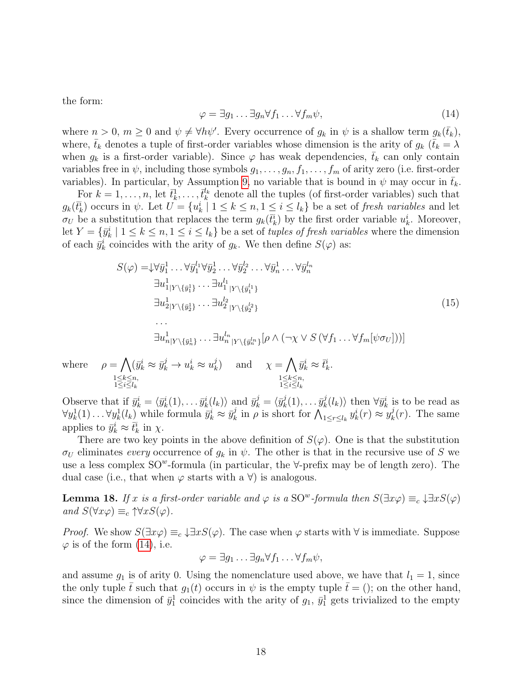<span id="page-17-0"></span>the form:

$$
\varphi = \exists g_1 \dots \exists g_n \forall f_1 \dots \forall f_m \psi,
$$
\n(14)

where  $n > 0$ ,  $m \ge 0$  and  $\psi \neq \forall h \psi'$ . Every occurrence of  $g_k$  in  $\psi$  is a shallow term  $g_k(\bar{t}_k)$ , where,  $\bar{t}_k$  denotes a tuple of first-order variables whose dimension is the arity of  $g_k$  ( $\bar{t}_k = \lambda$ ) when  $g_k$  is a first-order variable). Since  $\varphi$  has weak dependencies,  $\bar{t}_k$  can only contain variables free in  $\psi$ , including those symbols  $g_1, \ldots, g_n, f_1, \ldots, f_m$  of arity zero (i.e. first-order variables). In particular, by Assumption [9,](#page-10-1) no variable that is bound in  $\psi$  may occur in  $\bar{t}_k$ .

For  $k = 1, \ldots, n$ , let  $\bar{t}_k^1, \ldots, \bar{t}_k^{l_k}$  denote all the tuples (of first-order variables) such that  $g_k(\bar{t}_k^i)$  occurs in  $\psi$ . Let  $U = \{u_k^i \mid 1 \leq k \leq n, 1 \leq i \leq l_k\}$  be a set of fresh variables and let  $\sigma_U$  be a substitution that replaces the term  $g_k(\bar{t}_k^i)$  by the first order variable  $u_k^i$ . Moreover, let  $Y = \{\bar{y}_k^i \mid 1 \leq k \leq n, 1 \leq i \leq l_k\}$  be a set of *tuples of fresh variables* where the dimension of each  $\bar{y}_k^i$  coincides with the arity of  $g_k$ . We then define  $S(\varphi)$  as:

$$
S(\varphi) = \n\downarrow \forall \bar{y}_1^1 \dots \forall \bar{y}_1^{l_1} \forall \bar{y}_2^1 \dots \forall \bar{y}_2^{l_2} \dots \forall \bar{y}_n^{l_n} \qquad \exists u_1^1_{|Y \setminus \{\bar{y}_1^1\}} \dots \exists u_1^{l_1}_{|Y \setminus \{\bar{y}_1^{l_1}\}} \qquad \exists u_2^1_{|Y \setminus \{\bar{y}_2^1\}} \dots \exists u_2^{l_2}_{|Y \setminus \{\bar{y}_2^{l_2}\}} \qquad (15)
$$
\n
$$
\dots \qquad \exists u_{n|Y \setminus \{\bar{y}_n^1\}} \dots \exists u_{n|Y \setminus \{\bar{y}_n^{l_n}\}}^{l_n} [\rho \wedge (\neg \chi \vee S(\forall f_1 \dots \forall f_m[\psi \sigma_U]))]
$$

<span id="page-17-1"></span> $\bar{y}_k^i \approx \bar{t}_k^i$ .

where  $\rho = \Lambda$ 

 $1 \leq k \leq n$ ,  $1 \leq i \leq l_k$  $1 \leq k \leq n$ ,  $1 \leq i \leq l_k$ Observe that if  $\bar{y}_k^i = \langle \bar{y}_k^i(1), \ldots \bar{y}_k^i(l_k) \rangle$  and  $\bar{y}_k^j = \langle \bar{y}_k^j \rangle$  $\bar{y}_k^j(1), \ldots \bar{y}_k^j$  $\langle k \rangle_k^j$  then  $\forall \bar{y}_k^i$  is to be read as  $\forall y_k^1(1) \dots \forall y_k^1(l_k)$  while formula  $\bar{y}_k^i \approx \bar{y}_k^j$  $\sum_{k=1}^{j} \ln \rho$  is short for  $\bigwedge_{1 \leq r \leq l_k}^{n} y_k^i(r) \approx y_k^j$  $k<sub>k</sub>(r)$ . The same

 $\lambda_k^j$  and  $\chi = \bigwedge$ 

 $(\bar{y}_k^i \approx \bar{y}_k^j \rightarrow u_k^i \approx u_k^j)$ 

applies to  $\bar{y}_k^i \approx \bar{t}_k^i$  in  $\chi$ .

There are two key points in the above definition of  $S(\varphi)$ . One is that the substitution  $\sigma_U$  eliminates every occurrence of  $g_k$  in  $\psi$ . The other is that in the recursive use of S we use a less complex  $SO^w$ -formula (in particular, the  $\forall$ -prefix may be of length zero). The dual case (i.e., that when  $\varphi$  starts with a  $\forall$ ) is analogous.

<span id="page-17-2"></span>**Lemma 18.** If x is a first-order variable and  $\varphi$  is a SO<sup>w</sup>-formula then  $S(\exists x \varphi) \equiv_c \downarrow \exists x S(\varphi)$ and  $S(\forall x \varphi) \equiv_c \uparrow \forall x S(\varphi)$ .

*Proof.* We show  $S(\exists x \varphi) \equiv_c \downarrow \exists x S(\varphi)$ . The case when  $\varphi$  starts with  $\forall$  is immediate. Suppose  $\varphi$  is of the form [\(14\)](#page-17-0), i.e.

$$
\varphi = \exists g_1 \dots \exists g_n \forall f_1 \dots \forall f_m \psi,
$$

and assume  $g_1$  is of arity 0. Using the nomenclature used above, we have that  $l_1 = 1$ , since the only tuple  $\bar{t}$  such that  $g_1(t)$  occurs in  $\psi$  is the empty tuple  $\bar{t} = ()$ ; on the other hand, since the dimension of  $\bar{y}_1^1$  coincides with the arity of  $g_1$ ,  $\bar{y}_1^1$  gets trivialized to the empty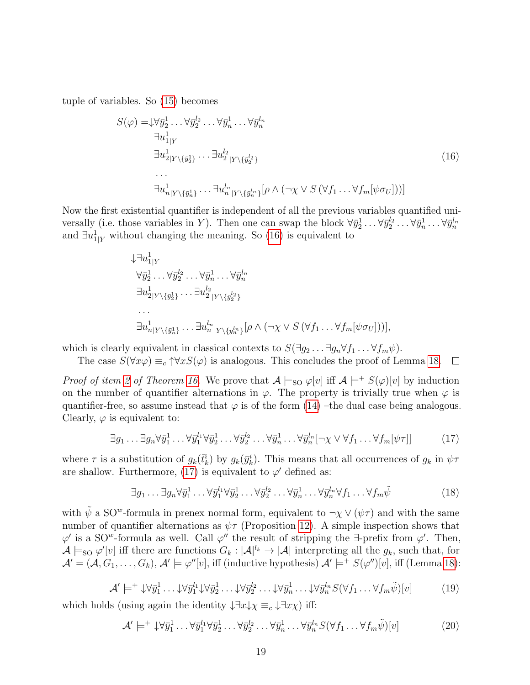tuple of variables. So [\(15\)](#page-17-1) becomes

<span id="page-18-0"></span>
$$
S(\varphi) = \downarrow \forall \bar{y}_2^1 \dots \forall \bar{y}_2^{l_2} \dots \forall \bar{y}_n^{l_1} \dots \forall \bar{y}_n^{l_n}
$$
  
\n
$$
\exists u_{1|Y}^1
$$
  
\n
$$
\exists u_{2|Y\setminus \{\bar{y}_2^1\}}^1 \dots \exists u_{2|Y\setminus \{\bar{y}_2^{l_2}\}}^{l_2}
$$
  
\n...  
\n
$$
\exists u_{n|Y\setminus \{\bar{y}_n^1\}}^1 \dots \exists u_{n|Y\setminus \{\bar{y}_n^{l_n}\}}^{l_n} [\rho \wedge (\neg \chi \vee S(\forall f_1 \dots \forall f_m[\psi \sigma_U]))]
$$
\n(16)

Now the first existential quantifier is independent of all the previous variables quantified universally (i.e. those variables in Y). Then one can swap the block  $\forall \bar{y}_2^1 \dots \forall \bar{y}_2^{l_2} \dots \forall \bar{y}_n^1 \dots \forall \bar{y}_n^{l_n}$ and  $\exists u_{1|Y}^1$  without changing the meaning. So [\(16\)](#page-18-0) is equivalent to

$$
\downarrow \exists u_1^1|_Y
$$
  
\n
$$
\forall \bar{y}_2^1 \dots \forall \bar{y}_2^{l_2} \dots \forall \bar{y}_n^1 \dots \forall \bar{y}_n^{l_n}
$$
  
\n
$$
\exists u_2^1|_Y \setminus {\{\bar{y}_2^1\}} \dots \exists u_2^{l_2}|_Y \setminus {\{\bar{y}_2^{l_2}\}}
$$
  
\n...  
\n
$$
\exists u_{n|Y}^1 \setminus {\{\bar{y}_n^1\}} \dots \exists u_{n|Y}^{l_n} \setminus {\{\bar{y}_n^{l_n}\}} [\rho \land (\neg \chi \lor S(\forall f_1 \dots \forall f_m[\psi \sigma_U]))],
$$

which is clearly equivalent in classical contexts to  $S(\exists g_2 \dots \exists g_n \forall f_1 \dots \forall f_m \psi)$ .

The case  $S(\forall x \varphi) \equiv_c \uparrow \forall x S(\varphi)$  is analogous. This concludes the proof of Lemma [18.](#page-17-2)  $\Box$ 

*Proof of item [2](#page-15-5) of Theorem [16.](#page-15-0)* We prove that  $\mathcal{A} \models_{\text{SO}} \varphi[v]$  iff  $\mathcal{A} \models^+ S(\varphi)[v]$  by induction on the number of quantifier alternations in  $\varphi$ . The property is trivially true when  $\varphi$  is quantifier-free, so assume instead that  $\varphi$  is of the form [\(14\)](#page-17-0) –the dual case being analogous. Clearly,  $\varphi$  is equivalent to:

<span id="page-18-1"></span>
$$
\exists g_1 \dots \exists g_n \forall \bar{y}_1^1 \dots \forall \bar{y}_1^{l_1} \forall \bar{y}_2^1 \dots \forall \bar{y}_2^{l_2} \dots \forall \bar{y}_n^1 \dots \forall \bar{y}_n^{l_n} [\neg \chi \lor \forall f_1 \dots \forall f_m[\psi \tau]] \tag{17}
$$

where  $\tau$  is a substitution of  $g_k(\bar{t}_k^i)$  by  $g_k(\bar{y}_k^i)$ . This means that all occurrences of  $g_k$  in  $\psi\tau$ are shallow. Furthermore, [\(17\)](#page-18-1) is equivalent to  $\varphi'$  defined as:

$$
\exists g_1 \dots \exists g_n \forall \bar{y}_1^1 \dots \forall \bar{y}_1^{l_1} \forall \bar{y}_2^1 \dots \forall \bar{y}_2^{l_2} \dots \forall \bar{y}_n^1 \dots \forall \bar{y}_n^{l_n} \forall f_1 \dots \forall f_m \tilde{\psi}
$$
\n(18)

with  $\tilde{\psi}$  a SO<sup>w</sup>-formula in prenex normal form, equivalent to  $\neg \chi \vee (\psi \tau)$  and with the same number of quantifier alternations as  $\psi \tau$  (Proposition [12\)](#page-12-0). A simple inspection shows that  $\varphi'$  is a SO<sup>w</sup>-formula as well. Call  $\varphi''$  the result of stripping the  $\exists$ -prefix from  $\varphi'$ . Then,  $\mathcal{A}\models_{\text{SO}}\varphi'[v]$  iff there are functions  $G_k:|\mathcal{A}|^{l_k}\to |\mathcal{A}|$  interpreting all the  $g_k$ , such that, for  $\mathcal{A}' = (\mathcal{A}, G_1, \ldots, G_k), \mathcal{A}' \models \varphi''[v],$  iff (inductive hypothesis)  $\mathcal{A}' \models^+ S(\varphi'')[v],$  iff (Lemma [18\)](#page-17-2):

$$
\mathcal{A}' \models^+ \downarrow \forall \bar{y}_1^1 \dots \downarrow \forall \bar{y}_1^{l_1} \downarrow \forall \bar{y}_2^1 \dots \downarrow \forall \bar{y}_2^{l_2} \dots \downarrow \forall \bar{y}_n^1 \dots \downarrow \forall \bar{y}_n^{l_n} S(\forall f_1 \dots \forall f_m \tilde{\psi})[v]
$$
(19)

which holds (using again the identity  $\downarrow \exists x \downarrow \chi \equiv_c \downarrow \exists x \chi$ ) iff:

<span id="page-18-2"></span>
$$
\mathcal{A}' \models^+ \downarrow \forall \bar{y}_1^1 \dots \forall \bar{y}_1^{l_1} \forall \bar{y}_2^1 \dots \forall \bar{y}_2^{l_2} \dots \forall \bar{y}_n^1 \dots \forall \bar{y}_n^{l_n} S(\forall f_1 \dots \forall f_m \tilde{\psi})[v] \tag{20}
$$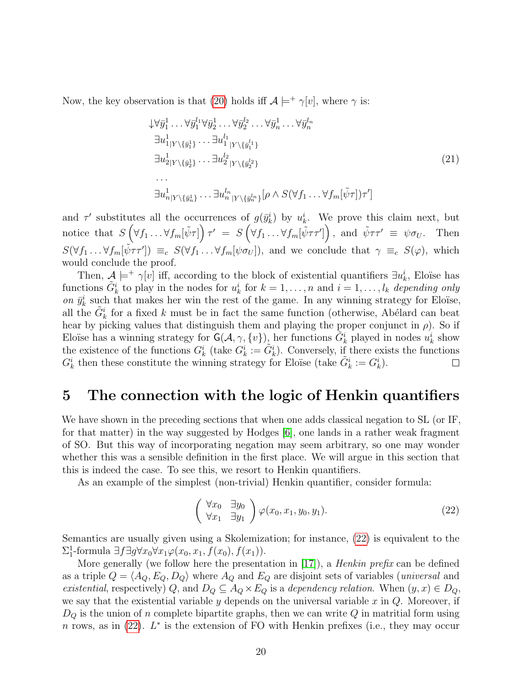Now, the key observation is that [\(20\)](#page-18-2) holds iff  $\mathcal{A} \models^+ \gamma[v]$ , where  $\gamma$  is:

<span id="page-19-2"></span>
$$
\begin{aligned}\n\downarrow \forall \bar{y}_1^1 \dots \forall \bar{y}_1^{l_1} \forall \bar{y}_2^1 \dots \forall \bar{y}_2^{l_2} \dots \forall \bar{y}_n^{l_1} \dots \forall \bar{y}_n^{l_n} \\
\exists u_{1|Y \setminus \{\bar{y}_1^1\}}^1 \dots \exists u_{1|Y \setminus \{\bar{y}_1^{l_1}\}}^{l_1} \\
\exists u_{2|Y \setminus \{\bar{y}_2^1\}}^1 \dots \exists u_{2|Y \setminus \{\bar{y}_2^{l_2}\}}^{l_2} \\
\vdots \\
\exists u_{n|Y \setminus \{\bar{y}_n^{l_1}\}}^1 \dots \exists u_{n|Y \setminus \{\bar{y}_n^{l_n}\}}^{l_n} [\rho \wedge S(\forall f_1 \dots \forall f_m[\tilde{\psi} \tau]) \tau']\n\end{aligned}\n\tag{21}
$$

and  $\tau'$  substitutes all the occurrences of  $g(\bar{y}_k^i)$  by  $u_k^i$ . We prove this claim next, but notice that  $S\left(\forall f_1 \dots \forall f_m[\tilde{\psi}\tau]\right) \tau' = S\left(\forall f_1 \dots \forall f_m[\tilde{\psi}\tau\tau']\right)$ , and  $\tilde{\psi}\tau\tau' \equiv \psi \sigma_U$ . Then  $S(\forall f_1 \dots \forall f_m[\tilde{\psi}\tau\tau']) \equiv_c S(\forall f_1 \dots \forall f_m[\psi \sigma_U]),$  and we conclude that  $\gamma \equiv_c S(\varphi)$ , which would conclude the proof.

Then,  $\mathcal{A} \models^+ \gamma[v]$  iff, according to the block of existential quantifiers  $\exists u_k^i$ , Eloïse has functions  $\tilde{G}_k^i$  to play in the nodes for  $u_k^i$  for  $k = 1, \ldots, n$  and  $i = 1, \ldots, l_k$  depending only on  $\bar{y}_k^i$  such that makes her win the rest of the game. In any winning strategy for Eloïse, all the  $\tilde{G}_k^i$  for a fixed k must be in fact the same function (otherwise, Abélard can beat hear by picking values that distinguish them and playing the proper conjunct in  $\rho$ ). So if Eloïse has a winning strategy for  $\mathsf{G}(\mathcal{A}, \gamma, \{v\})_k$  her functions  $\tilde{G}_k^i$  played in nodes  $u_k^i$  show the existence of the functions  $G_k^i$  (take  $G_k^i := \tilde{G}_k^i$ ). Conversely, if there exists the functions  $G_k^i$  then these constitute the winning strategy for Eloïse (take  $\tilde{G}_k^i := G_k^i$ ).  $\Box$ 

### <span id="page-19-0"></span>5 The connection with the logic of Henkin quantifiers

We have shown in the preceding sections that when one adds classical negation to SL (or IF, for that matter) in the way suggested by Hodges [\[6\]](#page-25-5), one lands in a rather weak fragment of SO. But this way of incorporating negation may seem arbitrary, so one may wonder whether this was a sensible definition in the first place. We will argue in this section that this is indeed the case. To see this, we resort to Henkin quantifiers.

As an example of the simplest (non-trivial) Henkin quantifier, consider formula:

<span id="page-19-1"></span>
$$
\begin{pmatrix} \forall x_0 & \exists y_0 \\ \forall x_1 & \exists y_1 \end{pmatrix} \varphi(x_0, x_1, y_0, y_1). \tag{22}
$$

Semantics are usually given using a Skolemization; for instance, [\(22\)](#page-19-1) is equivalent to the  $\Sigma^1_1$ -formula  $\exists f \exists g \forall x_0 \forall x_1 \varphi(x_0, x_1, f(x_0), f(x_1)).$ 

More generally (we follow here the presentation in [\[17\]](#page-26-5)), a *Henkin prefix* can be defined as a triple  $Q = \langle A_Q, E_Q, D_Q \rangle$  where  $A_Q$  and  $E_Q$  are disjoint sets of variables (universal and existential, respectively) Q, and  $D_Q \subseteq A_Q \times E_Q$  is a dependency relation. When  $(y, x) \in D_Q$ , we say that the existential variable y depends on the universal variable x in  $Q$ . Moreover, if  $D_Q$  is the union of n complete bipartite graphs, then we can write Q in matritial form using n rows, as in  $(22)$ .  $L^*$  is the extension of FO with Henkin prefixes (i.e., they may occur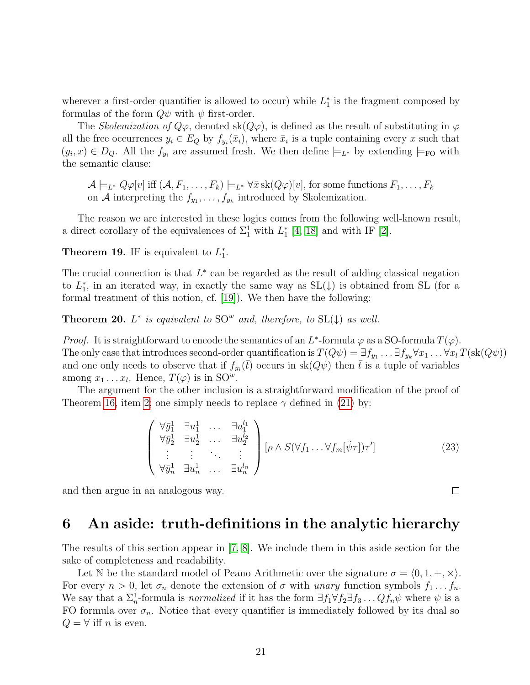wherever a first-order quantifier is allowed to occur) while  $L_1^*$  is the fragment composed by formulas of the form  $Q\psi$  with  $\psi$  first-order.

The Skolemization of  $Q\varphi$ , denoted sk $(Q\varphi)$ , is defined as the result of substituting in  $\varphi$ all the free occurrences  $y_i \in E_Q$  by  $f_{y_i}(\bar{x}_i)$ , where  $\bar{x}_i$  is a tuple containing every x such that  $(y_i, x) \in D_Q$ . All the  $f_{y_i}$  are assumed fresh. We then define  $\models_{L^*}$  by extending  $\models_{\text{FO}}$  with the semantic clause:

 $\mathcal{A} \models_{L^*} Q\varphi[v]$  iff  $(\mathcal{A}, F_1, \ldots, F_k) \models_{L^*} \forall \bar{x}$  sk $(Q\varphi)[v]$ , for some functions  $F_1, \ldots, F_k$ on A interpreting the  $f_{y_1}, \ldots, f_{y_k}$  introduced by Skolemization.

The reason we are interested in these logics comes from the following well-known result, a direct corollary of the equivalences of  $\Sigma_1^1$  with  $L_1^*$  [\[4,](#page-25-3) [18\]](#page-26-6) and with IF [\[2\]](#page-25-1).

**Theorem 19.** IF is equivalent to  $L_1^*$ .

The crucial connection is that  $L^*$  can be regarded as the result of adding classical negation to  $L_1^*$ , in an iterated way, in exactly the same way as  $SL(\downarrow)$  is obtained from SL (for a formal treatment of this notion, cf. [\[19\]](#page-26-7)). We then have the following:

**Theorem 20.**  $L^*$  is equivalent to  $SO^w$  and, therefore, to  $SL(\downarrow)$  as well.

*Proof.* It is straightforward to encode the semantics of an  $L^*$ -formula  $\varphi$  as a SO-formula  $T(\varphi)$ . The only case that introduces second-order quantification is  $T(Q\psi) = \exists f_{y_1} \dots \exists f_{y_k} \forall x_1 \dots \forall x_l T(\text{sk}(Q\psi))$ and one only needs to observe that if  $f_{y_i}(\bar{t})$  occurs in  $sk(Q\psi)$  then  $\bar{t}$  is a tuple of variables among  $x_1 \ldots x_l$ . Hence,  $T(\varphi)$  is in  $\mathrm{SO}^w$ .

The argument for the other inclusion is a straightforward modification of the proof of Theorem [16,](#page-15-0) item [2;](#page-15-5) one simply needs to replace  $\gamma$  defined in [\(21\)](#page-19-2) by:

$$
\begin{pmatrix}\n\forall \bar{y}_1^1 \quad \exists u_1^1 \quad \dots \quad \exists u_1^{l_1} \\
\forall \bar{y}_2^1 \quad \exists u_2^1 \quad \dots \quad \exists u_2^{l_2} \\
\vdots \quad \vdots \quad \ddots \quad \vdots \\
\forall \bar{y}_n^1 \quad \exists u_n^1 \quad \dots \quad \exists u_n^{l_n}\n\end{pmatrix} \left[\rho \wedge S(\forall f_1 \dots \forall f_m[\tilde{\psi}\tau])\tau'\right]
$$
\n(23)

and then argue in an analogous way.

#### <span id="page-20-0"></span>6 An aside: truth-definitions in the analytic hierarchy

The results of this section appear in [\[7,](#page-25-6) [8\]](#page-25-7). We include them in this aside section for the sake of completeness and readability.

Let N be the standard model of Peano Arithmetic over the signature  $\sigma = \langle 0, 1, +, \times \rangle$ . For every  $n > 0$ , let  $\sigma_n$  denote the extension of  $\sigma$  with unary function symbols  $f_1 \ldots f_n$ . We say that a  $\Sigma_n^1$ -formula is *normalized* if it has the form  $\exists f_1 \forall f_2 \exists f_3 \dots Q f_n \psi$  where  $\psi$  is a FO formula over  $\sigma_n$ . Notice that every quantifier is immediately followed by its dual so  $Q = \forall$  iff n is even.

 $\Box$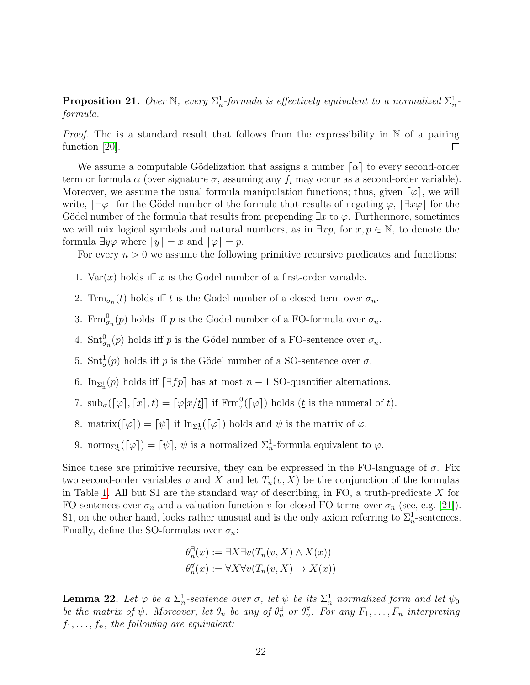**Proposition 21.** Over N, every  $\Sigma_n^1$ -formula is effectively equivalent to a normalized  $\Sigma_n^1$ formula.

*Proof.* The is a standard result that follows from the expressibility in  $\mathbb N$  of a pairing function [\[20\]](#page-26-8).  $\Box$ 

We assume a computable Gödelization that assigns a number  $\lceil \alpha \rceil$  to every second-order term or formula  $\alpha$  (over signature  $\sigma$ , assuming any  $f_i$  may occur as a second-order variable). Moreover, we assume the usual formula manipulation functions; thus, given  $\lbrack \varphi \rbrack$ , we will write,  $\lceil \neg \varphi \rceil$  for the Gödel number of the formula that results of negating  $\varphi$ ,  $\lceil \exists x \varphi \rceil$  for the Gödel number of the formula that results from prepending  $\exists x$  to  $\varphi$ . Furthermore, sometimes we will mix logical symbols and natural numbers, as in  $\exists xp$ , for  $x, p \in \mathbb{N}$ , to denote the formula  $\exists y \varphi$  where  $[y] = x$  and  $[\varphi] = p$ .

For every  $n > 0$  we assume the following primitive recursive predicates and functions:

1. Var $(x)$  holds iff x is the Gödel number of a first-order variable.

2. Trm $_{\sigma_n}(t)$  holds iff t is the Gödel number of a closed term over  $\sigma_n$ .

- 3. Frm $_{\sigma_n}^0(p)$  holds iff p is the Gödel number of a FO-formula over  $\sigma_n$ .
- 4.  $\text{Snt}_{\sigma_n}^0(p)$  holds iff p is the Gödel number of a FO-sentence over  $\sigma_n$ .
- 5.  $\text{Snt}^1_{\sigma}(p)$  holds iff p is the Gödel number of a SO-sentence over  $\sigma$ .
- 6. In<sub> $\Sigma_n^1(p)$ </sub> holds iff  $\lceil \exists fp \rceil$  has at most  $n-1$  SO-quantifier alternations.
- 7.  $\text{sub}_{\sigma}(\lceil \varphi \rceil, \lceil x \rceil, t) = \lceil \varphi[x/t] \rceil$  if  $\text{Frm}_{\tau}^{0}(\lceil \varphi \rceil)$  holds  $(t$  is the numeral of t).
- 8. matrix $(\lceil \varphi \rceil) = \lceil \psi \rceil$  if  $\text{In}_{\Sigma_n^1}(\lceil \varphi \rceil)$  holds and  $\psi$  is the matrix of  $\varphi$ .
- 9. norm<sub> $\Sigma_n^1(\lceil \varphi \rceil) = \lceil \psi \rceil$ ,  $\psi$  is a normalized  $\Sigma_n^1$ -formula equivalent to  $\varphi$ .</sub>

Since these are primitive recursive, they can be expressed in the FO-language of  $\sigma$ . Fix two second-order variables v and X and let  $T_n(v, X)$  be the conjunction of the formulas in Table [1.](#page-22-0) All but S1 are the standard way of describing, in FO, a truth-predicate  $X$  for FO-sentences over  $\sigma_n$  and a valuation function v for closed FO-terms over  $\sigma_n$  (see, e.g. [\[21\]](#page-26-9)). S1, on the other hand, looks rather unusual and is the only axiom referring to  $\Sigma_n^1$ -sentences. Finally, define the SO-formulas over  $\sigma_n$ :

$$
\theta_n^{\exists}(x) := \exists X \exists v (T_n(v, X) \land X(x))
$$

$$
\theta_n^{\forall}(x) := \forall X \forall v (T_n(v, X) \to X(x))
$$

<span id="page-21-0"></span>**Lemma 22.** Let  $\varphi$  be a  $\Sigma_n^1$ -sentence over  $\sigma$ , let  $\psi$  be its  $\Sigma_n^1$  normalized form and let  $\psi_0$ be the matrix of  $\psi$ . Moreover, let  $\theta_n$  be any of  $\theta_n^{\exists}$  or  $\theta_n^{\forall}$ . For any  $F_1, \ldots, F_n$  interpreting  $f_1, \ldots, f_n$ , the following are equivalent: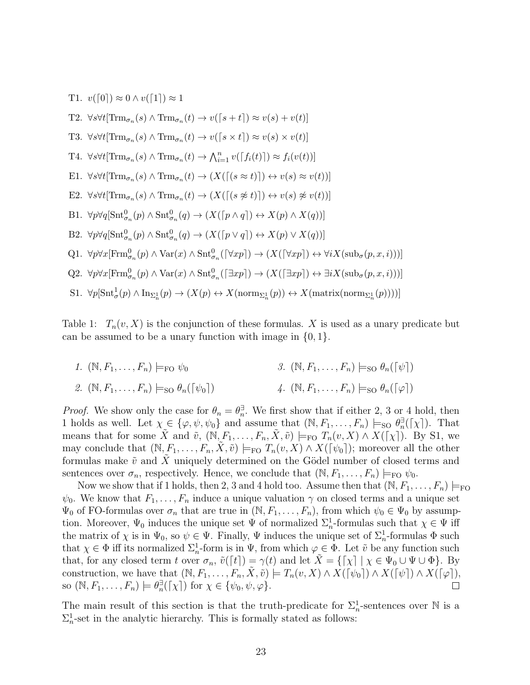T1.  $v([0]) \approx 0 \wedge v([1]) \approx 1$ T2.  $\forall s \forall t [\text{Trm}_{\sigma_n}(s) \land \text{Trm}_{\sigma_n}(t) \rightarrow v([s+t]) \approx v(s) + v(t)]$ T3.  $\forall s \forall t [\text{Trm}_{\sigma_n}(s) \land \text{Trm}_{\sigma_n}(t) \to v([s \times t]) \approx v(s) \times v(t)]$ T4.  $\forall s \forall t [\text{Trm}_{\sigma_n}(s) \land \text{Trm}_{\sigma_n}(t) \to \bigwedge_{i=1}^n v([f_i(t)]) \approx f_i(v(t))]$ E1.  $\forall s \forall t [\text{Trm}_{\sigma_n}(s) \land \text{Trm}_{\sigma_n}(t) \rightarrow (X([\neg(s \approx t)]) \leftrightarrow v(s) \approx v(t))]$ E2.  $\forall s \forall t [\text{Trm}_{\sigma_n}(s) \land \text{Trm}_{\sigma_n}(t) \rightarrow (X([\neg(s \not\approx t)]) \leftrightarrow v(s) \not\approx v(t))]$ B1.  $\forall p \forall q [\text{Snt}_{\sigma_n}^0(p) \land \text{Snt}_{\sigma_n}^0(q) \rightarrow (X([p \land q]) \leftrightarrow X(p) \land X(q))]$ B2.  $\forall p \forall q [\text{Snt}^0_{\sigma_n}(p) \land \text{Snt}^0_{\sigma_n}(q) \to (X([p \lor q]) \leftrightarrow X(p) \lor X(q))]$ Q1.  $\forall p \forall x [\text{Frm}_{\sigma_n}^0(p) \land \text{Var}(x) \land \text{Snt}_{\sigma_n}^0(\lceil \forall x p \rceil) \rightarrow (X(\lceil \forall x p \rceil) \leftrightarrow \forall i X (\text{sub}_{\sigma}(p, x, i)))]$ Q2.  $\forall p \forall x [\text{Frm}_{\sigma_n}^0(p) \land \text{Var}(x) \land \text{Snt}_{\sigma_n}^0(\exists xp]) \rightarrow (X(\exists xp]) \leftrightarrow \exists i X (\text{sub}_{\sigma}(p, x, i)))]$ S1.  $\forall p[\text{Snt}^1_{\sigma}(p) \wedge \text{In}_{\Sigma^1_n}(p) \rightarrow (X(p) \leftrightarrow X(\text{norm}_{\Sigma^1_n}(p)) \leftrightarrow X(\text{matrix}(\text{norm}_{\Sigma^1_n}(p))))]$ 

<span id="page-22-0"></span>Table 1:  $T_n(v, X)$  is the conjunction of these formulas. X is used as a unary predicate but can be assumed to be a unary function with image in  $\{0, 1\}.$ 

1.  $(\mathbb{N}, F_1, \ldots, F_n) \models_{\mathsf{FO}} \psi_0$ 2.  $(\mathbb{N}, F_1, \ldots, F_n) \models_{\text{SO}} \theta_n(\lceil \psi_0 \rceil)$ 3.  $(\mathbb{N}, F_1, \ldots, F_n) \models_{\text{SO}} \theta_n(\lceil \psi \rceil)$ 4.  $(\mathbb{N}, F_1, \ldots, F_n) \models_{\text{SO}} \theta_n(\lceil \varphi \rceil)$ 

*Proof.* We show only the case for  $\theta_n = \theta_n^{\exists}$ . We first show that if either 2, 3 or 4 hold, then 1 holds as well. Let  $\chi \in {\varphi, \psi, \psi_0}$  and assume that  $(\mathbb{N}, F_1, \ldots, F_n) \models_{\text{SO}} \theta_n^{\exists}([\chi])$ . That means that for some  $\tilde{X}$  and  $\tilde{v}$ ,  $(\mathbb{N}, F_1, \ldots, F_n, \tilde{X}, \tilde{v}) \models_{\text{FO}} T_n(v, X) \wedge X([\chi])$ . By S1, we may conclude that  $(N, F_1, \ldots, F_n, X, \tilde{v}) \models_{\text{FO}} T_n(v, X) \wedge X([\psi_0])$ ; moreover all the other formulas make  $\tilde{v}$  and X uniquely determined on the Gödel number of closed terms and sentences over  $\sigma_n$ , respectively. Hence, we conclude that  $(\mathbb{N}, F_1, \ldots, F_n) \models_{\text{FO}} \psi_0$ .

Now we show that if 1 holds, then 2, 3 and 4 hold too. Assume then that  $(\mathbb{N}, F_1, \ldots, F_n) \models_{\text{FO}}$  $\psi_0$ . We know that  $F_1, \ldots, F_n$  induce a unique valuation  $\gamma$  on closed terms and a unique set  $\Psi_0$  of FO-formulas over  $\sigma_n$  that are true in  $(\mathbb{N}, F_1, \ldots, F_n)$ , from which  $\psi_0 \in \Psi_0$  by assumption. Moreover,  $\Psi_0$  induces the unique set  $\Psi$  of normalized  $\Sigma_n^1$ -formulas such that  $\chi \in \Psi$  iff the matrix of  $\chi$  is in  $\Psi_0$ , so  $\psi \in \Psi$ . Finally,  $\Psi$  induces the unique set of  $\Sigma_n^1$ -formulas  $\Phi$  such that  $\chi \in \Phi$  iff its normalized  $\Sigma_n^1$ -form is in  $\Psi$ , from which  $\varphi \in \Phi$ . Let  $\tilde{v}$  be any function such that, for any closed term t over  $\sigma_n$ ,  $\tilde{v}([t]) = \gamma(t)$  and let  $\tilde{X} = \{[\chi] | \chi \in \Psi_0 \cup \Psi \cup \Phi\}$ . By construction, we have that  $(\mathbb{N}, F_1, \ldots, F_n, \tilde{X}, \tilde{v}) \models T_n(v, X) \wedge X([\psi]) \wedge X([\psi]) \wedge X([\varphi]),$ so  $(\mathbb{N}, F_1, \ldots, F_n) \models \theta_n^{\exists}([\chi])$  for  $\chi \in {\psi_0, \psi, \varphi}.$  $\Box$ 

The main result of this section is that the truth-predicate for  $\Sigma_n^1$ -sentences over N is a  $\Sigma_n^1$ -set in the analytic hierarchy. This is formally stated as follows: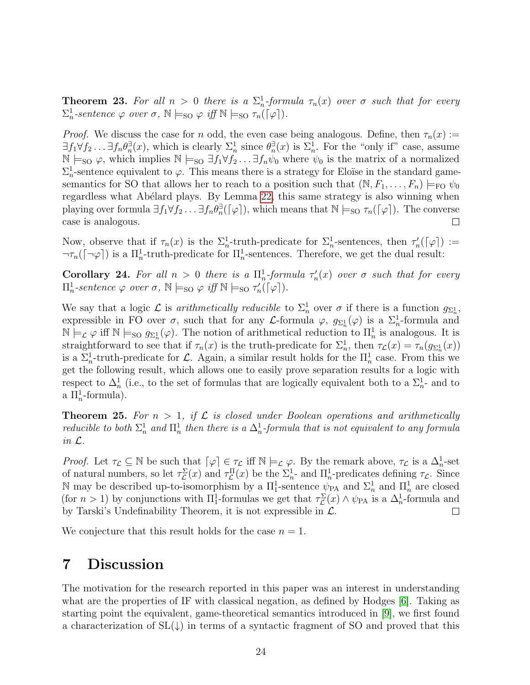**Theorem 23.** For all  $n > 0$  there is a  $\sum_{n=1}^{n}$ -formula  $\tau_n(x)$  over  $\sigma$  such that for every  $\Sigma_n^1$ -sentence  $\varphi$  over  $\sigma$ ,  $\mathbb{N} \models_{\text{SO}} \varphi$  iff  $\mathbb{N} \models_{\text{SO}} \tau_n(\lceil \varphi \rceil)$ .

*Proof.* We discuss the case for n odd, the even case being analogous. Define, then  $\tau_n(x)$  :=  $\exists f_1 \forall f_2 \ldots \exists f_n \theta_n^{\exists}(x)$ , which is clearly  $\Sigma_n^1$  since  $\theta_n^{\exists}(x)$  is  $\Sigma_n^1$ . For the "only if" case, assume  $\mathbb{N} \models_{\text{SO}} \varphi$ , which implies  $\mathbb{N} \models_{\text{SO}} \exists f_1 \forall f_2 \dots \exists f_n \psi_0$  where  $\psi_0$  is the matrix of a normalized  $\Sigma_n^1$ -sentence equivalent to  $\varphi$ . This means there is a strategy for Eloïse in the standard gamesemantics for SO that allows her to reach to a position such that  $(\mathbb{N}, F_1, \ldots, F_n) \models_{\text{FO}} \psi_0$ regardless what Abélard plays. By Lemma [22,](#page-21-0) this same strategy is also winning when playing over formula  $\exists f_1 \forall f_2 \dots \exists f_n \theta_n^{\exists}(\lceil \varphi \rceil)$ , which means that  $\mathbb{N} \models_{\text{SO}} \tau_n(\lceil \varphi \rceil)$ . The converse case is analogous.  $\Box$ 

Now, observe that if  $\tau_n(x)$  is the  $\Sigma_n^1$ -truth-predicate for  $\Sigma_n^1$ -sentences, then  $\tau'_n(\lceil \varphi \rceil) :=$  $\neg \tau_n(\lceil \neg \varphi \rceil)$  is a  $\Pi_n^1$ -truth-predicate for  $\Pi_n^1$ -sentences. Therefore, we get the dual result:

Corollary 24. For all  $n > 0$  there is a  $\prod_n^1$ -formula  $\tau'_n(x)$  over  $\sigma$  such that for every  $\Pi_n^1$ -sentence  $\varphi$  over  $\sigma$ ,  $\mathbb{N} \models_{\text{SO}} \varphi$  iff  $\mathbb{N} \models_{\text{SO}} \tau'_n(\lceil \varphi \rceil)$ .

We say that a logic  $\mathcal L$  is *arithmetically reducible* to  $\Sigma_n^1$  over  $\sigma$  if there is a function  $g_{\Sigma_n^1}$ , expressible in FO over  $\sigma$ , such that for any *L*-formula  $\varphi$ ,  $g_{\Sigma_n^1}(\varphi)$  is a  $\Sigma_n^1$ -formula and  $\mathbb{N} \models_{\mathcal{L}} \varphi$  iff  $\mathbb{N} \models_{\text{SO}} g_{\Sigma_n^1}(\varphi)$ . The notion of arithmetical reduction to  $\Pi_n^1$  is analogous. It is straightforward to see that if  $\tau_n(x)$  is the truth-predicate for  $\Sigma_n^1$ , then  $\tau_L(x) = \tau_n(g_{\Sigma_n^1}(x))$ is a  $\Sigma_n^1$ -truth-predicate for L. Again, a similar result holds for the  $\Pi_n^1$  case. From this we get the following result, which allows one to easily prove separation results for a logic with respect to  $\Delta_n^1$  (i.e., to the set of formulas that are logically equivalent both to a  $\Sigma_n^1$ - and to a  $\Pi_n^1$ -formula).

<span id="page-23-0"></span>**Theorem 25.** For  $n > 1$ , if  $\mathcal L$  is closed under Boolean operations and arithmetically reducible to both  $\Sigma_n^1$  and  $\Pi_n^1$  then there is a  $\Delta_n^1$ -formula that is not equivalent to any formula in L.

Proof. Let  $\tau_{\mathcal{L}} \subseteq \mathbb{N}$  be such that  $\lceil \varphi \rceil \in \tau_{\mathcal{L}}$  iff  $\mathbb{N} \models_{\mathcal{L}} \varphi$ . By the remark above,  $\tau_{\mathcal{L}}$  is a  $\Delta_n^1$ -set of natural numbers, so let  $\tau_{\mathcal{L}}^{\Sigma}(x)$  and  $\tau_{\mathcal{L}}^{\Pi}(x)$  be the  $\Sigma_{n}^{1}$ - and  $\Pi_{n}^{1}$ -predicates defining  $\tau_{\mathcal{L}}$ . Since N may be described up-to-isomorphism by a  $\Pi_1^1$ -sentence  $\psi_{PA}$  and  $\Sigma_n^1$  and  $\Pi_n^1$  are closed (for  $n > 1$ ) by conjunctions with  $\Pi_1^1$ -formulas we get that  $\tau_{\mathcal{L}}^{\Sigma}(x) \wedge \psi_{\text{PA}}$  is a  $\Delta_n^1$ -formula and by Tarski's Undefinability Theorem, it is not expressible in  $\mathcal{L}$ .  $\Box$ 

We conjecture that this result holds for the case  $n = 1$ .

# 7 Discussion

The motivation for the research reported in this paper was an interest in understanding what are the properties of IF with classical negation, as defined by Hodges [\[6\]](#page-25-5). Taking as starting point the equivalent, game-theoretical semantics introduced in [\[9\]](#page-25-8), we first found a characterization of  $SL(\downarrow)$  in terms of a syntactic fragment of SO and proved that this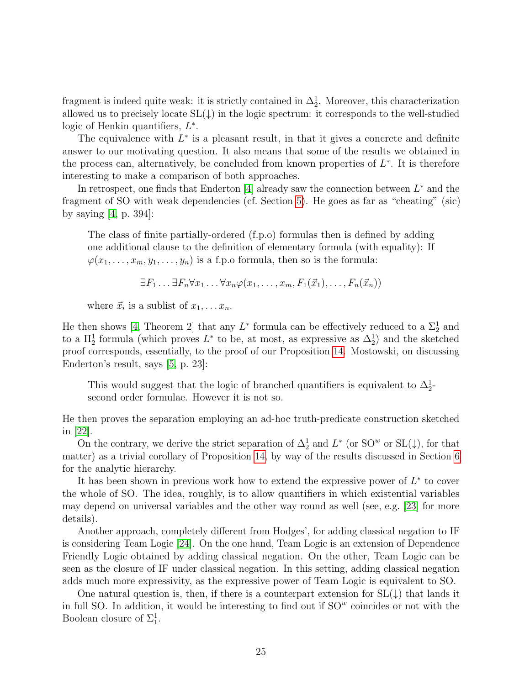fragment is indeed quite weak: it is strictly contained in  $\Delta_2^1$ . Moreover, this characterization allowed us to precisely locate  $SL(\downarrow)$  in the logic spectrum: it corresponds to the well-studied logic of Henkin quantifiers,  $L^*$ .

The equivalence with  $L^*$  is a pleasant result, in that it gives a concrete and definite answer to our motivating question. It also means that some of the results we obtained in the process can, alternatively, be concluded from known properties of  $L^*$ . It is therefore interesting to make a comparison of both approaches.

In retrospect, one finds that Enderton  $[4]$  already saw the connection between  $L^*$  and the fragment of SO with weak dependencies (cf. Section [5\)](#page-19-0). He goes as far as "cheating" (sic) by saying [\[4,](#page-25-3) p. 394]:

The class of finite partially-ordered (f.p.o) formulas then is defined by adding one additional clause to the definition of elementary formula (with equality): If  $\varphi(x_1,\ldots,x_m,y_1,\ldots,y_n)$  is a f.p.o formula, then so is the formula:

$$
\exists F_1 \ldots \exists F_n \forall x_1 \ldots \forall x_n \varphi(x_1, \ldots, x_m, F_1(\vec{x}_1), \ldots, F_n(\vec{x}_n))
$$

where  $\vec{x}_i$  is a sublist of  $x_1, \ldots x_n$ .

He then shows [\[4,](#page-25-3) Theorem 2] that any  $L^*$  formula can be effectively reduced to a  $\Sigma_2^1$  and to a  $\Pi_2^1$  formula (which proves  $L^*$  to be, at most, as expressive as  $\Delta_2^1$ ) and the sketched proof corresponds, essentially, to the proof of our Proposition [14.](#page-13-0) Mostowski, on discussing Enderton's result, says [\[5,](#page-25-4) p. 23]:

This would suggest that the logic of branched quantifiers is equivalent to  $\Delta_2^1$ second order formulae. However it is not so.

He then proves the separation employing an ad-hoc truth-predicate construction sketched in [\[22\]](#page-26-10).

On the contrary, we derive the strict separation of  $\Delta_2^1$  and  $L^*$  (or SO<sup>w</sup> or SL( $\downarrow$ ), for that matter) as a trivial corollary of Proposition [14,](#page-13-0) by way of the results discussed in Section [6](#page-20-0) for the analytic hierarchy.

It has been shown in previous work how to extend the expressive power of  $L^*$  to cover the whole of SO. The idea, roughly, is to allow quantifiers in which existential variables may depend on universal variables and the other way round as well (see, e.g. [\[23\]](#page-26-11) for more details).

Another approach, completely different from Hodges', for adding classical negation to IF is considering Team Logic [\[24\]](#page-26-12). On the one hand, Team Logic is an extension of Dependence Friendly Logic obtained by adding classical negation. On the other, Team Logic can be seen as the closure of IF under classical negation. In this setting, adding classical negation adds much more expressivity, as the expressive power of Team Logic is equivalent to SO.

One natural question is, then, if there is a counterpart extension for  $SL(\downarrow)$  that lands it in full SO. In addition, it would be interesting to find out if  $SO<sup>w</sup>$  coincides or not with the Boolean closure of  $\Sigma_1^1$ .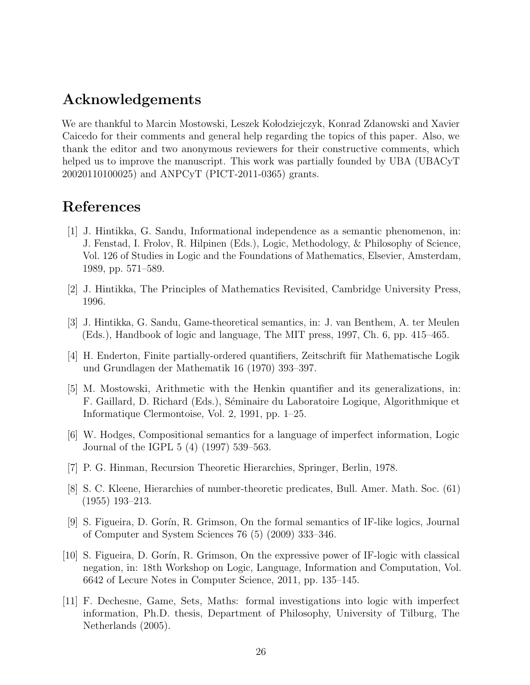## Acknowledgements

We are thankful to Marcin Mostowski, Leszek Kołodziejczyk, Konrad Zdanowski and Xavier Caicedo for their comments and general help regarding the topics of this paper. Also, we thank the editor and two anonymous reviewers for their constructive comments, which helped us to improve the manuscript. This work was partially founded by UBA (UBACyT 20020110100025) and ANPCyT (PICT-2011-0365) grants.

### References

- <span id="page-25-0"></span>[1] J. Hintikka, G. Sandu, Informational independence as a semantic phenomenon, in: J. Fenstad, I. Frolov, R. Hilpinen (Eds.), Logic, Methodology, & Philosophy of Science, Vol. 126 of Studies in Logic and the Foundations of Mathematics, Elsevier, Amsterdam, 1989, pp. 571–589.
- <span id="page-25-1"></span>[2] J. Hintikka, The Principles of Mathematics Revisited, Cambridge University Press, 1996.
- <span id="page-25-2"></span>[3] J. Hintikka, G. Sandu, Game-theoretical semantics, in: J. van Benthem, A. ter Meulen (Eds.), Handbook of logic and language, The MIT press, 1997, Ch. 6, pp. 415–465.
- <span id="page-25-3"></span>[4] H. Enderton, Finite partially-ordered quantifiers, Zeitschrift für Mathematische Logik und Grundlagen der Mathematik 16 (1970) 393–397.
- <span id="page-25-4"></span>[5] M. Mostowski, Arithmetic with the Henkin quantifier and its generalizations, in: F. Gaillard, D. Richard (Eds.), Séminaire du Laboratoire Logique, Algorithmique et Informatique Clermontoise, Vol. 2, 1991, pp. 1–25.
- <span id="page-25-5"></span>[6] W. Hodges, Compositional semantics for a language of imperfect information, Logic Journal of the IGPL 5 (4) (1997) 539–563.
- <span id="page-25-6"></span>[7] P. G. Hinman, Recursion Theoretic Hierarchies, Springer, Berlin, 1978.
- <span id="page-25-7"></span>[8] S. C. Kleene, Hierarchies of number-theoretic predicates, Bull. Amer. Math. Soc. (61) (1955) 193–213.
- <span id="page-25-8"></span>[9] S. Figueira, D. Gor´ın, R. Grimson, On the formal semantics of IF-like logics, Journal of Computer and System Sciences 76 (5) (2009) 333–346.
- <span id="page-25-9"></span>[10] S. Figueira, D. Gor´ın, R. Grimson, On the expressive power of IF-logic with classical negation, in: 18th Workshop on Logic, Language, Information and Computation, Vol. 6642 of Lecure Notes in Computer Science, 2011, pp. 135–145.
- <span id="page-25-10"></span>[11] F. Dechesne, Game, Sets, Maths: formal investigations into logic with imperfect information, Ph.D. thesis, Department of Philosophy, University of Tilburg, The Netherlands (2005).